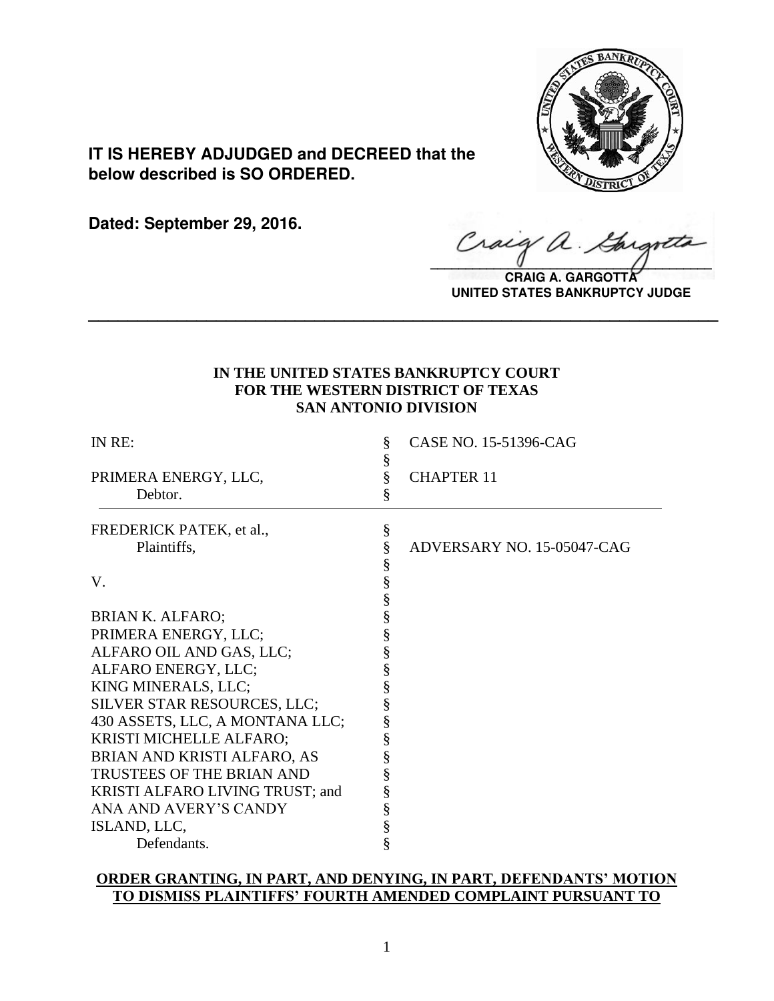

**IT IS HEREBY ADJUDGED and DECREED that the below described is SO ORDERED.**

**Dated: September 29, 2016.**

Craig a.

**CRAIG A. GARGOTT UNITED STATES BANKRUPTCY JUDGE**

# **IN THE UNITED STATES BANKRUPTCY COURT FOR THE WESTERN DISTRICT OF TEXAS SAN ANTONIO DIVISION**

**\_\_\_\_\_\_\_\_\_\_\_\_\_\_\_\_\_\_\_\_\_\_\_\_\_\_\_\_\_\_\_\_\_\_\_\_\_\_\_\_\_\_\_\_\_\_\_\_\_\_\_\_\_\_\_\_\_\_\_\_\_\_\_\_**

| IN RE:                          | §<br>§         | CASE NO. 15-51396-CAG      |
|---------------------------------|----------------|----------------------------|
| PRIMERA ENERGY, LLC,            | §              | <b>CHAPTER 11</b>          |
| Debtor.                         | §              |                            |
| FREDERICK PATEK, et al.,        | $\S$           |                            |
| Plaintiffs,                     | §              | ADVERSARY NO. 15-05047-CAG |
|                                 |                |                            |
| V.                              | SS SS SS<br>SS |                            |
|                                 |                |                            |
| <b>BRIAN K. ALFARO;</b>         |                |                            |
| PRIMERA ENERGY, LLC;            | §              |                            |
| ALFARO OIL AND GAS, LLC;        | §              |                            |
| ALFARO ENERGY, LLC;             | §              |                            |
| KING MINERALS, LLC;             | §              |                            |
| SILVER STAR RESOURCES, LLC;     | §              |                            |
| 430 ASSETS, LLC, A MONTANA LLC; |                |                            |
| KRISTI MICHELLE ALFARO;         | §<br>§         |                            |
| BRIAN AND KRISTI ALFARO, AS     | §              |                            |
| TRUSTEES OF THE BRIAN AND       | §              |                            |
| KRISTI ALFARO LIVING TRUST; and | §              |                            |
| ANA AND AVERY'S CANDY           | §              |                            |
| ISLAND, LLC,                    | §              |                            |
| Defendants.                     | §              |                            |

# **ORDER GRANTING, IN PART, AND DENYING, IN PART, DEFENDANTS' MOTION TO DISMISS PLAINTIFFS' FOURTH AMENDED COMPLAINT PURSUANT TO**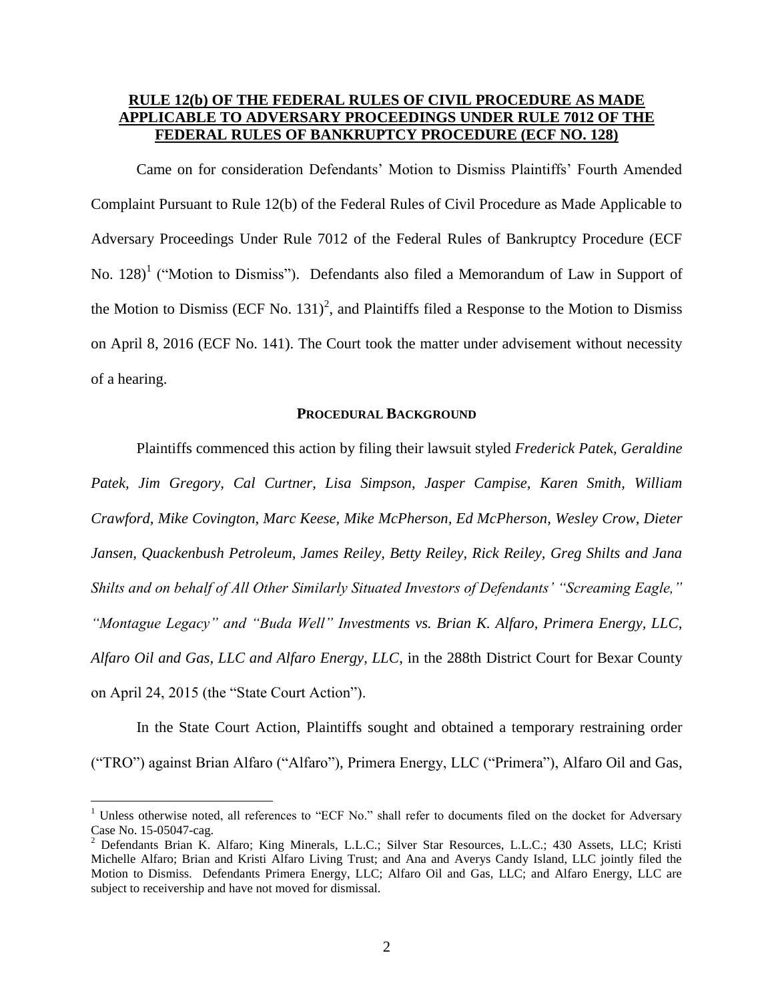# **RULE 12(b) OF THE FEDERAL RULES OF CIVIL PROCEDURE AS MADE APPLICABLE TO ADVERSARY PROCEEDINGS UNDER RULE 7012 OF THE FEDERAL RULES OF BANKRUPTCY PROCEDURE (ECF NO. 128)**

Came on for consideration Defendants' Motion to Dismiss Plaintiffs' Fourth Amended Complaint Pursuant to Rule 12(b) of the Federal Rules of Civil Procedure as Made Applicable to Adversary Proceedings Under Rule 7012 of the Federal Rules of Bankruptcy Procedure (ECF No.  $128$ <sup>1</sup> ("Motion to Dismiss"). Defendants also filed a Memorandum of Law in Support of the Motion to Dismiss (ECF No. 131)<sup>2</sup>, and Plaintiffs filed a Response to the Motion to Dismiss on April 8, 2016 (ECF No. 141). The Court took the matter under advisement without necessity of a hearing.

## **PROCEDURAL BACKGROUND**

Plaintiffs commenced this action by filing their lawsuit styled *Frederick Patek, Geraldine Patek, Jim Gregory, Cal Curtner, Lisa Simpson, Jasper Campise, Karen Smith, William Crawford, Mike Covington, Marc Keese, Mike McPherson, Ed McPherson, Wesley Crow, Dieter Jansen, Quackenbush Petroleum, James Reiley, Betty Reiley, Rick Reiley, Greg Shilts and Jana Shilts and on behalf of All Other Similarly Situated Investors of Defendants' "Screaming Eagle," "Montague Legacy" and "Buda Well" Investments vs. Brian K. Alfaro, Primera Energy, LLC, Alfaro Oil and Gas, LLC and Alfaro Energy, LLC*, in the 288th District Court for Bexar County on April 24, 2015 (the "State Court Action").

In the State Court Action, Plaintiffs sought and obtained a temporary restraining order ("TRO") against Brian Alfaro ("Alfaro"), Primera Energy, LLC ("Primera"), Alfaro Oil and Gas,

 $\overline{a}$ 

<sup>&</sup>lt;sup>1</sup> Unless otherwise noted, all references to "ECF No." shall refer to documents filed on the docket for Adversary Case No. 15-05047-cag.

<sup>&</sup>lt;sup>2</sup> Defendants Brian K. Alfaro; King Minerals, L.L.C.; Silver Star Resources, L.L.C.; 430 Assets, LLC; Kristi Michelle Alfaro; Brian and Kristi Alfaro Living Trust; and Ana and Averys Candy Island, LLC jointly filed the Motion to Dismiss. Defendants Primera Energy, LLC; Alfaro Oil and Gas, LLC; and Alfaro Energy, LLC are subject to receivership and have not moved for dismissal.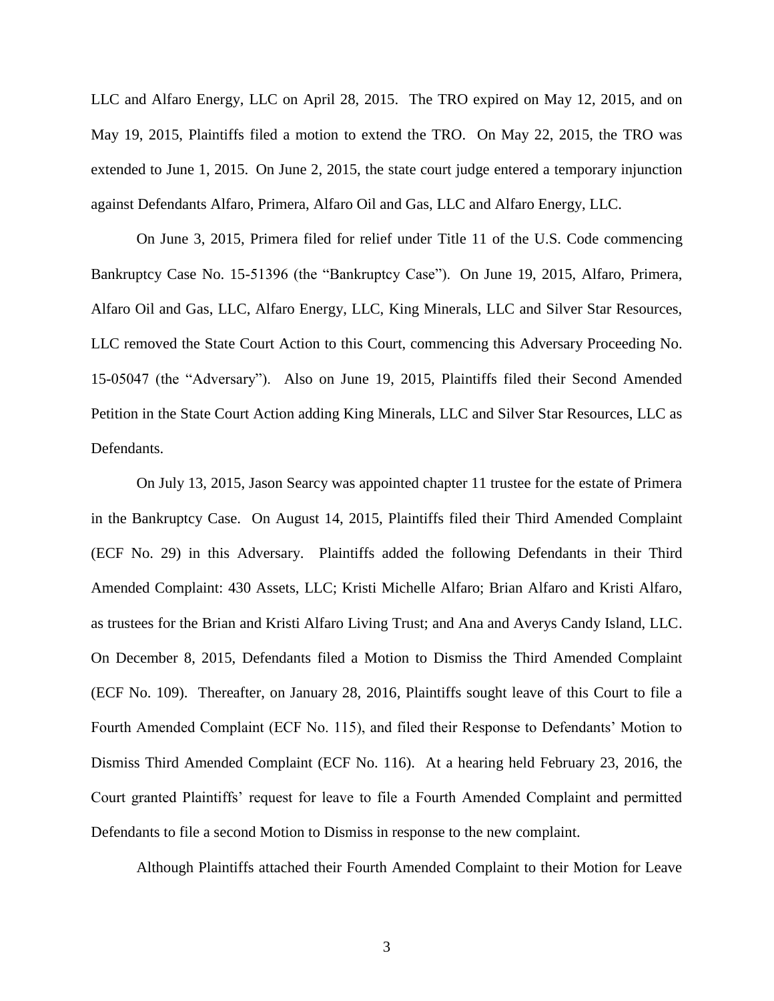LLC and Alfaro Energy, LLC on April 28, 2015. The TRO expired on May 12, 2015, and on May 19, 2015, Plaintiffs filed a motion to extend the TRO. On May 22, 2015, the TRO was extended to June 1, 2015.On June 2, 2015, the state court judge entered a temporary injunction against Defendants Alfaro, Primera, Alfaro Oil and Gas, LLC and Alfaro Energy, LLC.

On June 3, 2015, Primera filed for relief under Title 11 of the U.S. Code commencing Bankruptcy Case No. 15-51396 (the "Bankruptcy Case").On June 19, 2015, Alfaro, Primera, Alfaro Oil and Gas, LLC, Alfaro Energy, LLC, King Minerals, LLC and Silver Star Resources, LLC removed the State Court Action to this Court, commencing this Adversary Proceeding No. 15-05047 (the "Adversary"). Also on June 19, 2015, Plaintiffs filed their Second Amended Petition in the State Court Action adding King Minerals, LLC and Silver Star Resources, LLC as Defendants.

On July 13, 2015, Jason Searcy was appointed chapter 11 trustee for the estate of Primera in the Bankruptcy Case. On August 14, 2015, Plaintiffs filed their Third Amended Complaint (ECF No. 29) in this Adversary. Plaintiffs added the following Defendants in their Third Amended Complaint: 430 Assets, LLC; Kristi Michelle Alfaro; Brian Alfaro and Kristi Alfaro, as trustees for the Brian and Kristi Alfaro Living Trust; and Ana and Averys Candy Island, LLC. On December 8, 2015, Defendants filed a Motion to Dismiss the Third Amended Complaint (ECF No. 109). Thereafter, on January 28, 2016, Plaintiffs sought leave of this Court to file a Fourth Amended Complaint (ECF No. 115), and filed their Response to Defendants' Motion to Dismiss Third Amended Complaint (ECF No. 116). At a hearing held February 23, 2016, the Court granted Plaintiffs' request for leave to file a Fourth Amended Complaint and permitted Defendants to file a second Motion to Dismiss in response to the new complaint.

Although Plaintiffs attached their Fourth Amended Complaint to their Motion for Leave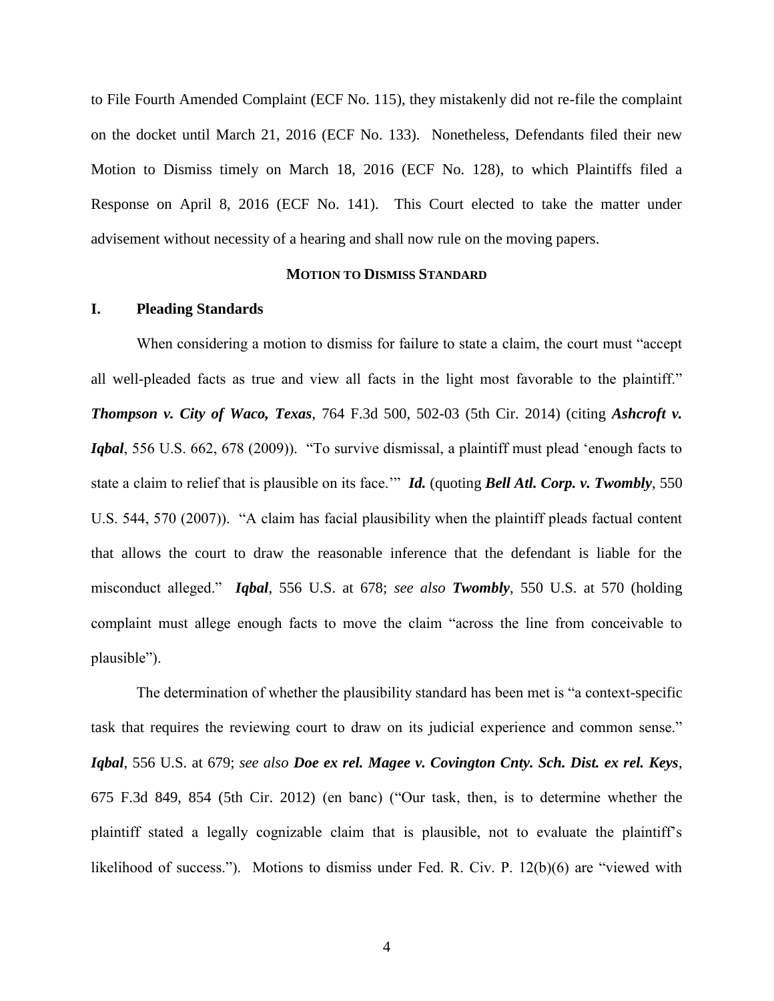to File Fourth Amended Complaint (ECF No. 115), they mistakenly did not re-file the complaint on the docket until March 21, 2016 (ECF No. 133). Nonetheless, Defendants filed their new Motion to Dismiss timely on March 18, 2016 (ECF No. 128), to which Plaintiffs filed a Response on April 8, 2016 (ECF No. 141). This Court elected to take the matter under advisement without necessity of a hearing and shall now rule on the moving papers.

### **MOTION TO DISMISS STANDARD**

## **I. Pleading Standards**

When considering a motion to dismiss for failure to state a claim, the court must "accept all well-pleaded facts as true and view all facts in the light most favorable to the plaintiff." *Thompson v. City of Waco, Texas*, 764 F.3d 500, 502-03 (5th Cir. 2014) (citing *Ashcroft v. Iqbal*, 556 U.S. 662, 678 (2009)). "To survive dismissal, a plaintiff must plead 'enough facts to state a claim to relief that is plausible on its face.'" *Id.* (quoting *Bell Atl. Corp. v. Twombly*, 550 U.S. 544, 570 (2007)). "A claim has facial plausibility when the plaintiff pleads factual content that allows the court to draw the reasonable inference that the defendant is liable for the misconduct alleged." *Iqbal*, 556 U.S. at 678; *see also Twombly*, 550 U.S. at 570 (holding complaint must allege enough facts to move the claim "across the line from conceivable to plausible").

The determination of whether the plausibility standard has been met is "a context-specific task that requires the reviewing court to draw on its judicial experience and common sense." *Iqbal*, 556 U.S. at 679; *see also Doe ex rel. Magee v. Covington Cnty. Sch. Dist. ex rel. Keys*, 675 F.3d 849, 854 (5th Cir. 2012) (en banc) ("Our task, then, is to determine whether the plaintiff stated a legally cognizable claim that is plausible, not to evaluate the plaintiff's likelihood of success."). Motions to dismiss under Fed. R. Civ. P. 12(b)(6) are "viewed with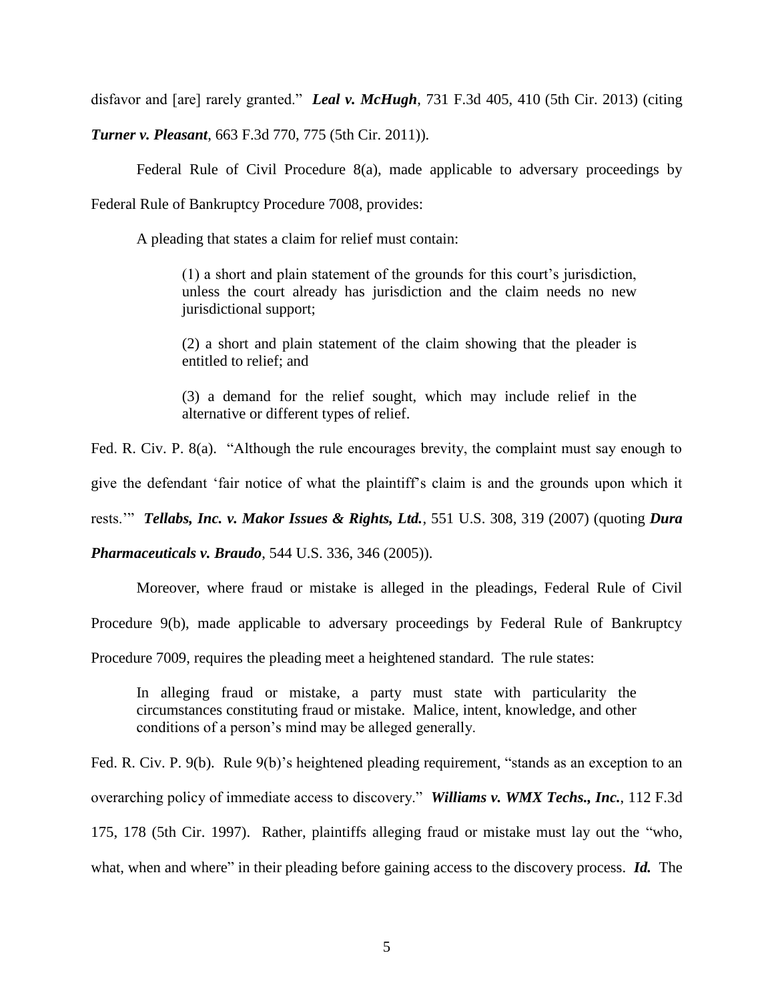disfavor and [are] rarely granted." *Leal v. McHugh*, 731 F.3d 405, 410 (5th Cir. 2013) (citing

*Turner v. Pleasant*, 663 F.3d 770, 775 (5th Cir. 2011)).

Federal Rule of Civil Procedure 8(a), made applicable to adversary proceedings by Federal Rule of Bankruptcy Procedure 7008, provides:

A pleading that states a claim for relief must contain:

(1) a short and plain statement of the grounds for this court's jurisdiction, unless the court already has jurisdiction and the claim needs no new jurisdictional support;

(2) a short and plain statement of the claim showing that the pleader is entitled to relief; and

(3) a demand for the relief sought, which may include relief in the alternative or different types of relief.

Fed. R. Civ. P. 8(a). "Although the rule encourages brevity, the complaint must say enough to

give the defendant 'fair notice of what the plaintiff's claim is and the grounds upon which it

rests.'" *Tellabs, Inc. v. Makor Issues & Rights, Ltd.*, 551 U.S. 308, 319 (2007) (quoting *Dura* 

*Pharmaceuticals v. Braudo*, 544 U.S. 336, 346 (2005)).

Moreover, where fraud or mistake is alleged in the pleadings, Federal Rule of Civil

Procedure 9(b), made applicable to adversary proceedings by Federal Rule of Bankruptcy

Procedure 7009, requires the pleading meet a heightened standard. The rule states:

In alleging fraud or mistake, a party must state with particularity the circumstances constituting fraud or mistake. Malice, intent, knowledge, and other conditions of a person's mind may be alleged generally.

Fed. R. Civ. P. 9(b). Rule 9(b)'s heightened pleading requirement, "stands as an exception to an overarching policy of immediate access to discovery." *Williams v. WMX Techs., Inc.*, 112 F.3d 175, 178 (5th Cir. 1997). Rather, plaintiffs alleging fraud or mistake must lay out the "who, what, when and where" in their pleading before gaining access to the discovery process. *Id.* The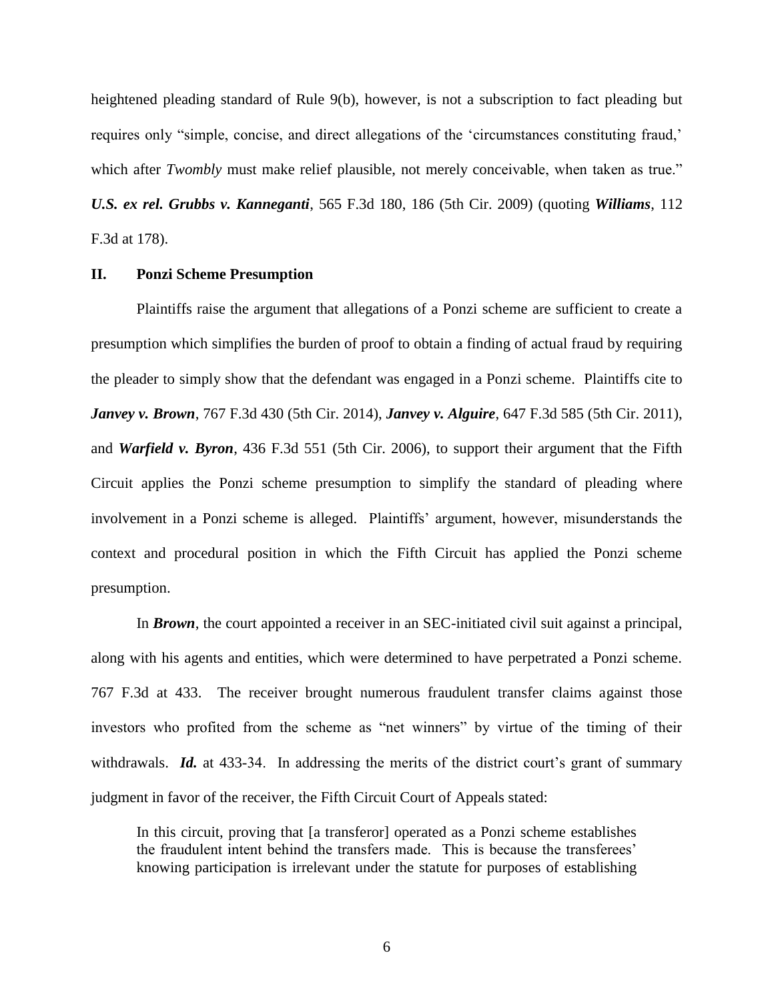heightened pleading standard of Rule 9(b), however, is not a subscription to fact pleading but requires only "simple, concise, and direct allegations of the 'circumstances constituting fraud,' which after *Twombly* must make relief plausible, not merely conceivable, when taken as true." *U.S. ex rel. Grubbs v. Kanneganti*, 565 F.3d 180, 186 (5th Cir. 2009) (quoting *Williams*, 112 F.3d at 178).

### **II. Ponzi Scheme Presumption**

Plaintiffs raise the argument that allegations of a Ponzi scheme are sufficient to create a presumption which simplifies the burden of proof to obtain a finding of actual fraud by requiring the pleader to simply show that the defendant was engaged in a Ponzi scheme. Plaintiffs cite to *Janvey v. Brown*, 767 F.3d 430 (5th Cir. 2014), *Janvey v. Alguire*, 647 F.3d 585 (5th Cir. 2011), and *Warfield v. Byron*, 436 F.3d 551 (5th Cir. 2006), to support their argument that the Fifth Circuit applies the Ponzi scheme presumption to simplify the standard of pleading where involvement in a Ponzi scheme is alleged.Plaintiffs' argument, however, misunderstands the context and procedural position in which the Fifth Circuit has applied the Ponzi scheme presumption.

In **Brown**, the court appointed a receiver in an SEC-initiated civil suit against a principal, along with his agents and entities, which were determined to have perpetrated a Ponzi scheme. 767 F.3d at 433. The receiver brought numerous fraudulent transfer claims against those investors who profited from the scheme as "net winners" by virtue of the timing of their withdrawals. **Id.** at 433-34. In addressing the merits of the district court's grant of summary judgment in favor of the receiver, the Fifth Circuit Court of Appeals stated:

In this circuit, proving that [a transferor] operated as a Ponzi scheme establishes the fraudulent intent behind the transfers made. This is because the transferees' knowing participation is irrelevant under the statute for purposes of establishing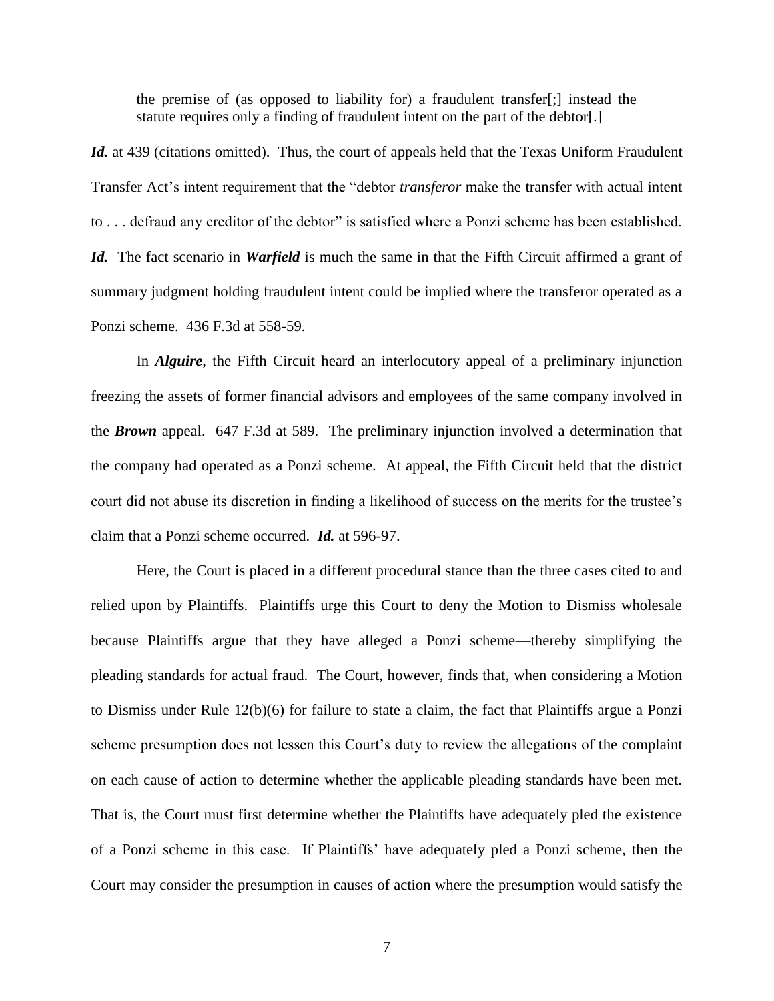the premise of (as opposed to liability for) a fraudulent transfer[;] instead the statute requires only a finding of fraudulent intent on the part of the debtor[.]

Id. at 439 (citations omitted). Thus, the court of appeals held that the Texas Uniform Fraudulent Transfer Act's intent requirement that the "debtor *transferor* make the transfer with actual intent to . . . defraud any creditor of the debtor" is satisfied where a Ponzi scheme has been established. *Id.* The fact scenario in *Warfield* is much the same in that the Fifth Circuit affirmed a grant of summary judgment holding fraudulent intent could be implied where the transferor operated as a Ponzi scheme. 436 F.3d at 558-59.

In *Alguire*, the Fifth Circuit heard an interlocutory appeal of a preliminary injunction freezing the assets of former financial advisors and employees of the same company involved in the *Brown* appeal. 647 F.3d at 589. The preliminary injunction involved a determination that the company had operated as a Ponzi scheme. At appeal, the Fifth Circuit held that the district court did not abuse its discretion in finding a likelihood of success on the merits for the trustee's claim that a Ponzi scheme occurred. *Id.* at 596-97.

Here, the Court is placed in a different procedural stance than the three cases cited to and relied upon by Plaintiffs. Plaintiffs urge this Court to deny the Motion to Dismiss wholesale because Plaintiffs argue that they have alleged a Ponzi scheme—thereby simplifying the pleading standards for actual fraud. The Court, however, finds that, when considering a Motion to Dismiss under Rule 12(b)(6) for failure to state a claim, the fact that Plaintiffs argue a Ponzi scheme presumption does not lessen this Court's duty to review the allegations of the complaint on each cause of action to determine whether the applicable pleading standards have been met. That is, the Court must first determine whether the Plaintiffs have adequately pled the existence of a Ponzi scheme in this case. If Plaintiffs' have adequately pled a Ponzi scheme, then the Court may consider the presumption in causes of action where the presumption would satisfy the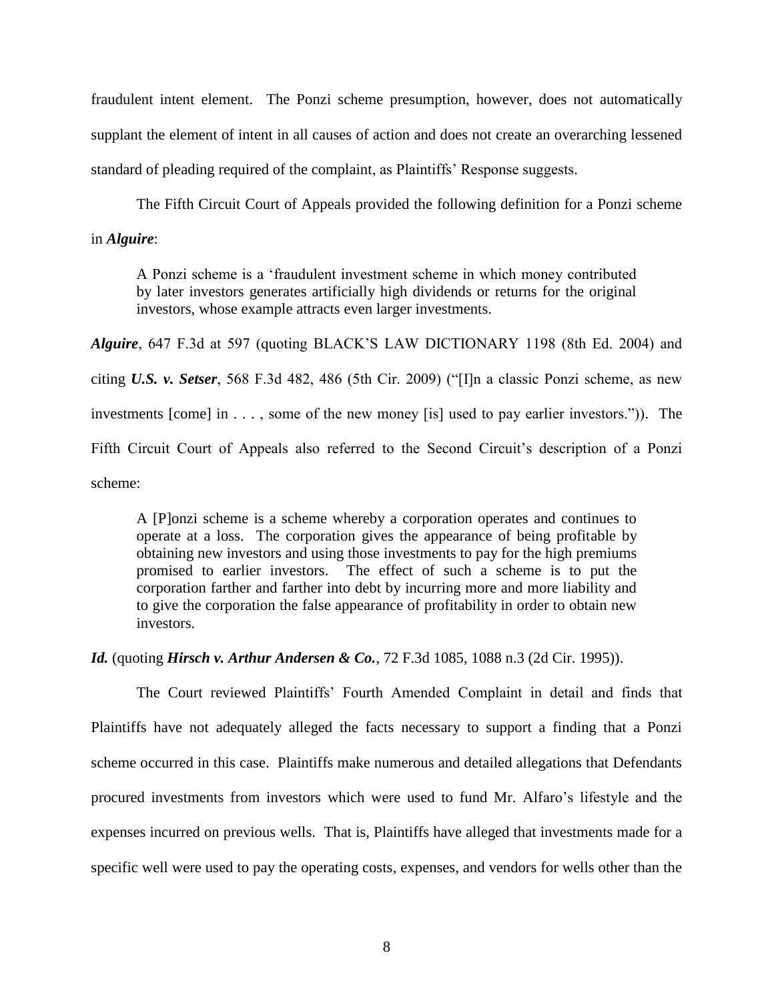fraudulent intent element. The Ponzi scheme presumption, however, does not automatically supplant the element of intent in all causes of action and does not create an overarching lessened standard of pleading required of the complaint, as Plaintiffs' Response suggests.

The Fifth Circuit Court of Appeals provided the following definition for a Ponzi scheme in *Alguire*:

A Ponzi scheme is a 'fraudulent investment scheme in which money contributed by later investors generates artificially high dividends or returns for the original investors, whose example attracts even larger investments.

*Alguire*, 647 F.3d at 597 (quoting BLACK'S LAW DICTIONARY 1198 (8th Ed. 2004) and citing *U.S. v. Setser*, 568 F.3d 482, 486 (5th Cir. 2009) ("[I]n a classic Ponzi scheme, as new investments [come] in . . . , some of the new money [is] used to pay earlier investors.")). The Fifth Circuit Court of Appeals also referred to the Second Circuit's description of a Ponzi scheme:

A [P]onzi scheme is a scheme whereby a corporation operates and continues to operate at a loss. The corporation gives the appearance of being profitable by obtaining new investors and using those investments to pay for the high premiums promised to earlier investors. The effect of such a scheme is to put the corporation farther and farther into debt by incurring more and more liability and to give the corporation the false appearance of profitability in order to obtain new investors.

*Id.* (quoting *Hirsch v. Arthur Andersen & Co.*, 72 F.3d 1085, 1088 n.3 (2d Cir. 1995)).

The Court reviewed Plaintiffs' Fourth Amended Complaint in detail and finds that Plaintiffs have not adequately alleged the facts necessary to support a finding that a Ponzi scheme occurred in this case. Plaintiffs make numerous and detailed allegations that Defendants procured investments from investors which were used to fund Mr. Alfaro's lifestyle and the expenses incurred on previous wells. That is, Plaintiffs have alleged that investments made for a specific well were used to pay the operating costs, expenses, and vendors for wells other than the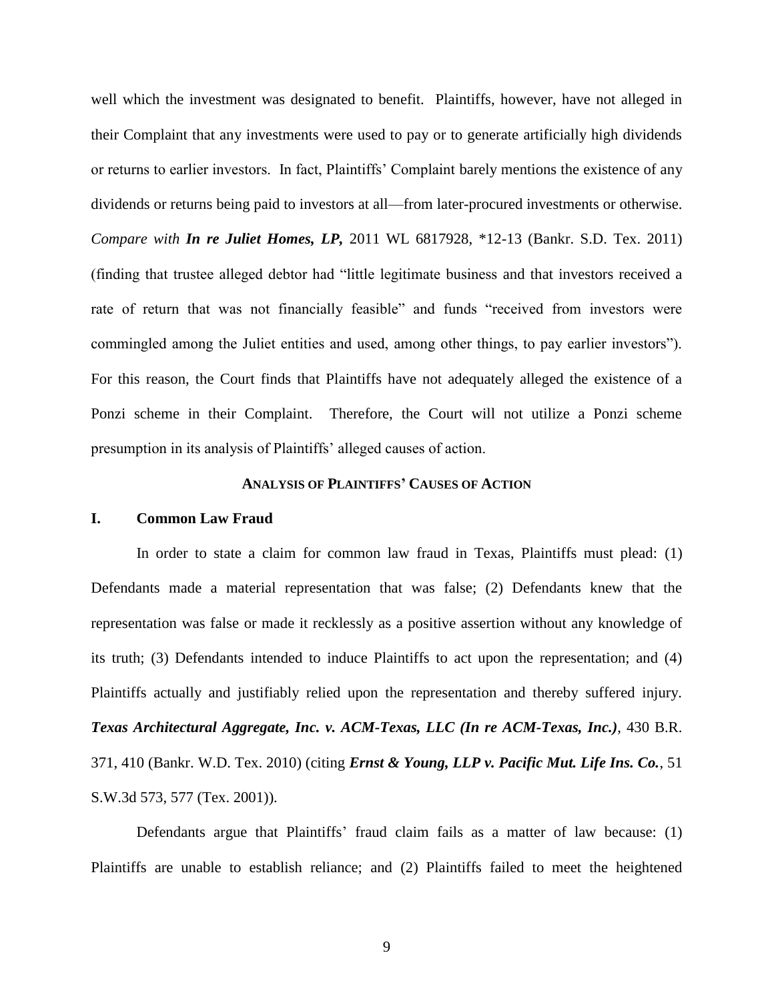well which the investment was designated to benefit. Plaintiffs, however, have not alleged in their Complaint that any investments were used to pay or to generate artificially high dividends or returns to earlier investors. In fact, Plaintiffs' Complaint barely mentions the existence of any dividends or returns being paid to investors at all—from later-procured investments or otherwise. *Compare with In re Juliet Homes, LP,* 2011 WL 6817928, \*12-13 (Bankr. S.D. Tex. 2011) (finding that trustee alleged debtor had "little legitimate business and that investors received a rate of return that was not financially feasible" and funds "received from investors were commingled among the Juliet entities and used, among other things, to pay earlier investors"). For this reason, the Court finds that Plaintiffs have not adequately alleged the existence of a Ponzi scheme in their Complaint. Therefore, the Court will not utilize a Ponzi scheme presumption in its analysis of Plaintiffs' alleged causes of action.

#### **ANALYSIS OF PLAINTIFFS' CAUSES OF ACTION**

#### **I. Common Law Fraud**

In order to state a claim for common law fraud in Texas, Plaintiffs must plead: (1) Defendants made a material representation that was false; (2) Defendants knew that the representation was false or made it recklessly as a positive assertion without any knowledge of its truth; (3) Defendants intended to induce Plaintiffs to act upon the representation; and (4) Plaintiffs actually and justifiably relied upon the representation and thereby suffered injury. *Texas Architectural Aggregate, Inc. v. ACM-Texas, LLC (In re ACM-Texas, Inc.)*, 430 B.R. 371, 410 (Bankr. W.D. Tex. 2010) (citing *Ernst & Young, LLP v. Pacific Mut. Life Ins. Co.*, 51 S.W.3d 573, 577 (Tex. 2001)).

Defendants argue that Plaintiffs' fraud claim fails as a matter of law because: (1) Plaintiffs are unable to establish reliance; and (2) Plaintiffs failed to meet the heightened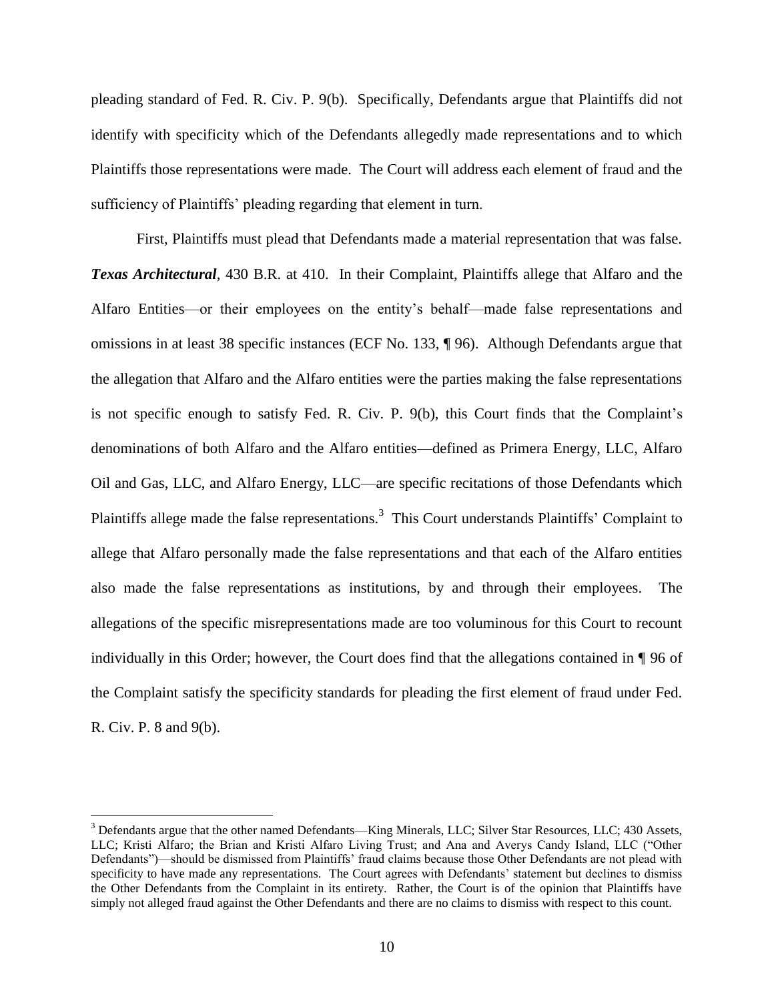pleading standard of Fed. R. Civ. P. 9(b). Specifically, Defendants argue that Plaintiffs did not identify with specificity which of the Defendants allegedly made representations and to which Plaintiffs those representations were made. The Court will address each element of fraud and the sufficiency of Plaintiffs' pleading regarding that element in turn.

First, Plaintiffs must plead that Defendants made a material representation that was false. *Texas Architectural*, 430 B.R. at 410. In their Complaint, Plaintiffs allege that Alfaro and the Alfaro Entities—or their employees on the entity's behalf—made false representations and omissions in at least 38 specific instances (ECF No. 133, ¶ 96). Although Defendants argue that the allegation that Alfaro and the Alfaro entities were the parties making the false representations is not specific enough to satisfy Fed. R. Civ. P. 9(b), this Court finds that the Complaint's denominations of both Alfaro and the Alfaro entities—defined as Primera Energy, LLC, Alfaro Oil and Gas, LLC, and Alfaro Energy, LLC—are specific recitations of those Defendants which Plaintiffs allege made the false representations.<sup>3</sup> This Court understands Plaintiffs' Complaint to allege that Alfaro personally made the false representations and that each of the Alfaro entities also made the false representations as institutions, by and through their employees. The allegations of the specific misrepresentations made are too voluminous for this Court to recount individually in this Order; however, the Court does find that the allegations contained in ¶ 96 of the Complaint satisfy the specificity standards for pleading the first element of fraud under Fed. R. Civ. P. 8 and 9(b).

 $\overline{a}$ 

<sup>&</sup>lt;sup>3</sup> Defendants argue that the other named Defendants—King Minerals, LLC; Silver Star Resources, LLC; 430 Assets, LLC; Kristi Alfaro; the Brian and Kristi Alfaro Living Trust; and Ana and Averys Candy Island, LLC ("Other Defendants")—should be dismissed from Plaintiffs' fraud claims because those Other Defendants are not plead with specificity to have made any representations. The Court agrees with Defendants' statement but declines to dismiss the Other Defendants from the Complaint in its entirety. Rather, the Court is of the opinion that Plaintiffs have simply not alleged fraud against the Other Defendants and there are no claims to dismiss with respect to this count.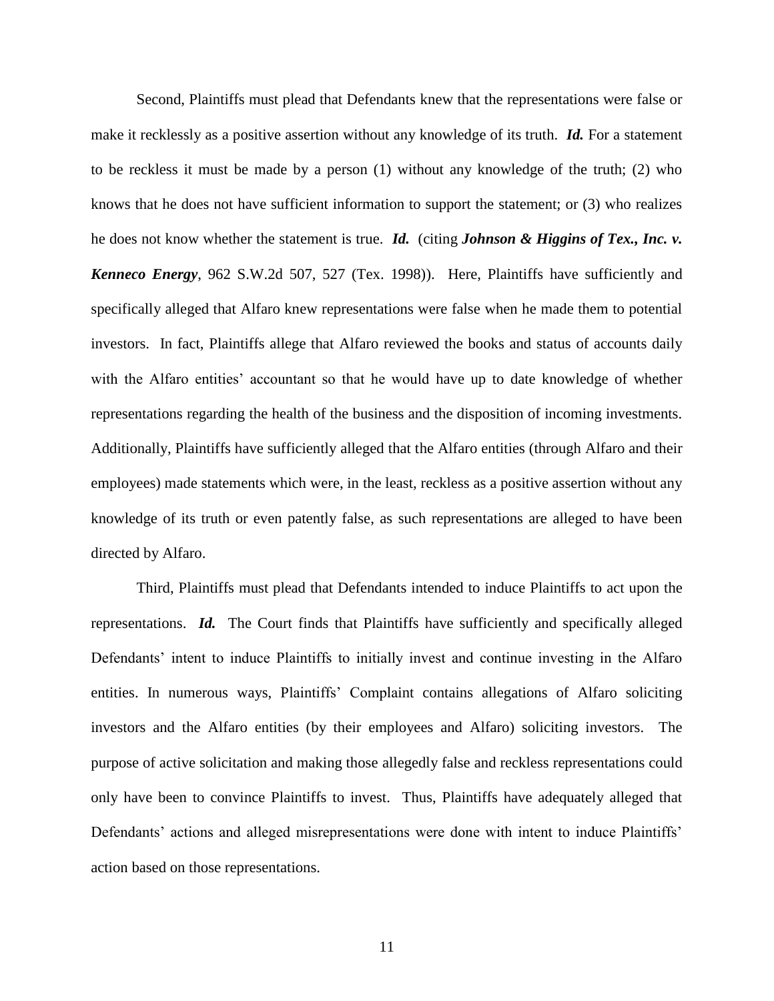Second, Plaintiffs must plead that Defendants knew that the representations were false or make it recklessly as a positive assertion without any knowledge of its truth. *Id.* For a statement to be reckless it must be made by a person (1) without any knowledge of the truth; (2) who knows that he does not have sufficient information to support the statement; or (3) who realizes he does not know whether the statement is true. *Id.* (citing *Johnson & Higgins of Tex., Inc. v. Kenneco Energy*, 962 S.W.2d 507, 527 (Tex. 1998)). Here, Plaintiffs have sufficiently and specifically alleged that Alfaro knew representations were false when he made them to potential investors. In fact, Plaintiffs allege that Alfaro reviewed the books and status of accounts daily with the Alfaro entities' accountant so that he would have up to date knowledge of whether representations regarding the health of the business and the disposition of incoming investments. Additionally, Plaintiffs have sufficiently alleged that the Alfaro entities (through Alfaro and their employees) made statements which were, in the least, reckless as a positive assertion without any knowledge of its truth or even patently false, as such representations are alleged to have been directed by Alfaro.

Third, Plaintiffs must plead that Defendants intended to induce Plaintiffs to act upon the representations. *Id.* The Court finds that Plaintiffs have sufficiently and specifically alleged Defendants' intent to induce Plaintiffs to initially invest and continue investing in the Alfaro entities. In numerous ways, Plaintiffs' Complaint contains allegations of Alfaro soliciting investors and the Alfaro entities (by their employees and Alfaro) soliciting investors. The purpose of active solicitation and making those allegedly false and reckless representations could only have been to convince Plaintiffs to invest. Thus, Plaintiffs have adequately alleged that Defendants' actions and alleged misrepresentations were done with intent to induce Plaintiffs' action based on those representations.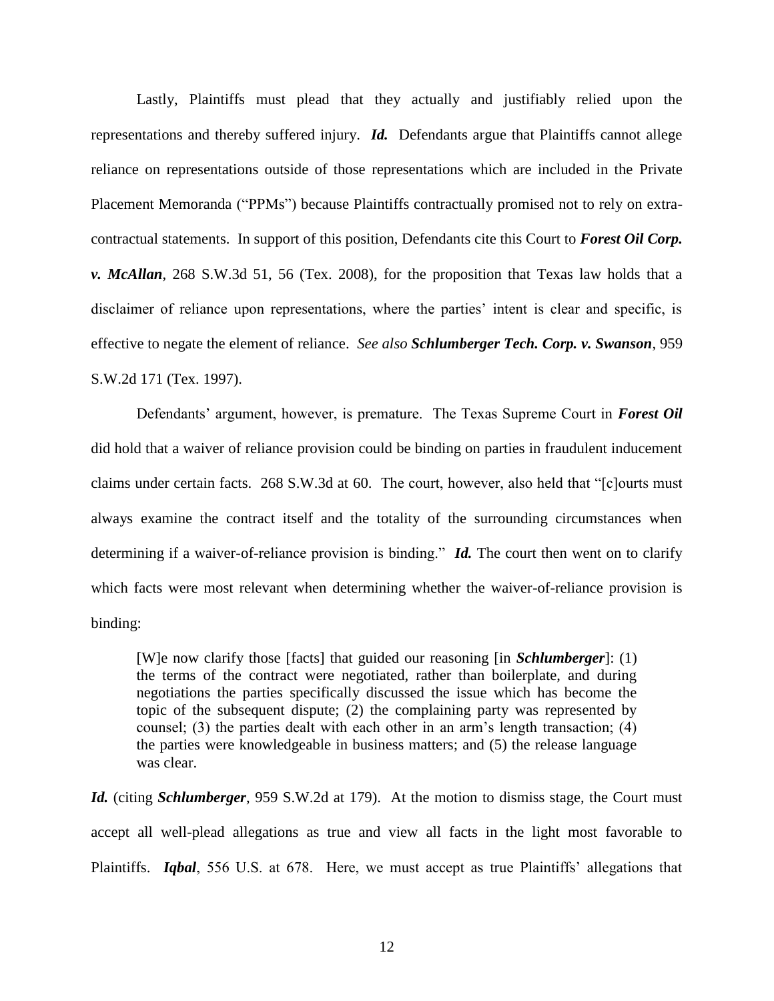Lastly, Plaintiffs must plead that they actually and justifiably relied upon the representations and thereby suffered injury. *Id.* Defendants argue that Plaintiffs cannot allege reliance on representations outside of those representations which are included in the Private Placement Memoranda ("PPMs") because Plaintiffs contractually promised not to rely on extracontractual statements. In support of this position, Defendants cite this Court to *Forest Oil Corp. v. McAllan*, 268 S.W.3d 51, 56 (Tex. 2008), for the proposition that Texas law holds that a disclaimer of reliance upon representations, where the parties' intent is clear and specific, is effective to negate the element of reliance. *See also Schlumberger Tech. Corp. v. Swanson*, 959 S.W.2d 171 (Tex. 1997).

Defendants' argument, however, is premature. The Texas Supreme Court in *Forest Oil* did hold that a waiver of reliance provision could be binding on parties in fraudulent inducement claims under certain facts. 268 S.W.3d at 60. The court, however, also held that "[c]ourts must always examine the contract itself and the totality of the surrounding circumstances when determining if a waiver-of-reliance provision is binding." *Id.* The court then went on to clarify which facts were most relevant when determining whether the waiver-of-reliance provision is binding:

[W]e now clarify those [facts] that guided our reasoning [in *Schlumberger*]: (1) the terms of the contract were negotiated, rather than boilerplate, and during negotiations the parties specifically discussed the issue which has become the topic of the subsequent dispute; (2) the complaining party was represented by counsel; (3) the parties dealt with each other in an arm's length transaction; (4) the parties were knowledgeable in business matters; and (5) the release language was clear.

*Id.* (citing *Schlumberger*, 959 S.W.2d at 179). At the motion to dismiss stage, the Court must accept all well-plead allegations as true and view all facts in the light most favorable to Plaintiffs. *Iqbal*, 556 U.S. at 678. Here, we must accept as true Plaintiffs' allegations that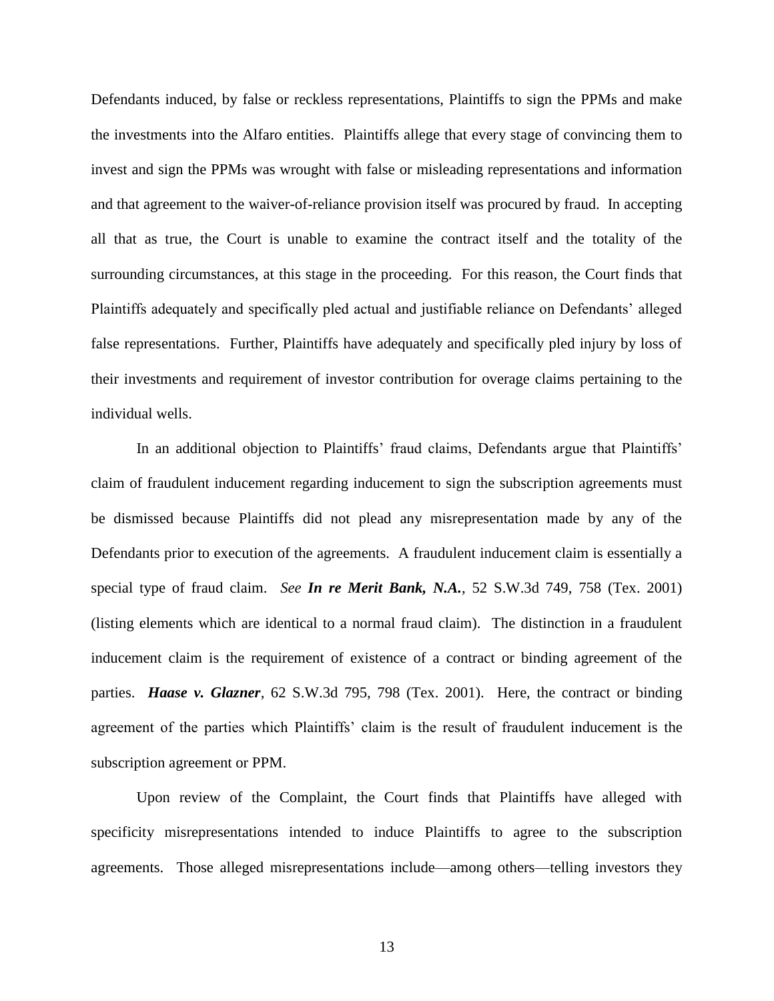Defendants induced, by false or reckless representations, Plaintiffs to sign the PPMs and make the investments into the Alfaro entities. Plaintiffs allege that every stage of convincing them to invest and sign the PPMs was wrought with false or misleading representations and information and that agreement to the waiver-of-reliance provision itself was procured by fraud. In accepting all that as true, the Court is unable to examine the contract itself and the totality of the surrounding circumstances, at this stage in the proceeding. For this reason, the Court finds that Plaintiffs adequately and specifically pled actual and justifiable reliance on Defendants' alleged false representations. Further, Plaintiffs have adequately and specifically pled injury by loss of their investments and requirement of investor contribution for overage claims pertaining to the individual wells.

In an additional objection to Plaintiffs' fraud claims, Defendants argue that Plaintiffs' claim of fraudulent inducement regarding inducement to sign the subscription agreements must be dismissed because Plaintiffs did not plead any misrepresentation made by any of the Defendants prior to execution of the agreements. A fraudulent inducement claim is essentially a special type of fraud claim. *See In re Merit Bank, N.A.*, 52 S.W.3d 749, 758 (Tex. 2001) (listing elements which are identical to a normal fraud claim). The distinction in a fraudulent inducement claim is the requirement of existence of a contract or binding agreement of the parties. *Haase v. Glazner*, 62 S.W.3d 795, 798 (Tex. 2001). Here, the contract or binding agreement of the parties which Plaintiffs' claim is the result of fraudulent inducement is the subscription agreement or PPM.

Upon review of the Complaint, the Court finds that Plaintiffs have alleged with specificity misrepresentations intended to induce Plaintiffs to agree to the subscription agreements. Those alleged misrepresentations include—among others—telling investors they

13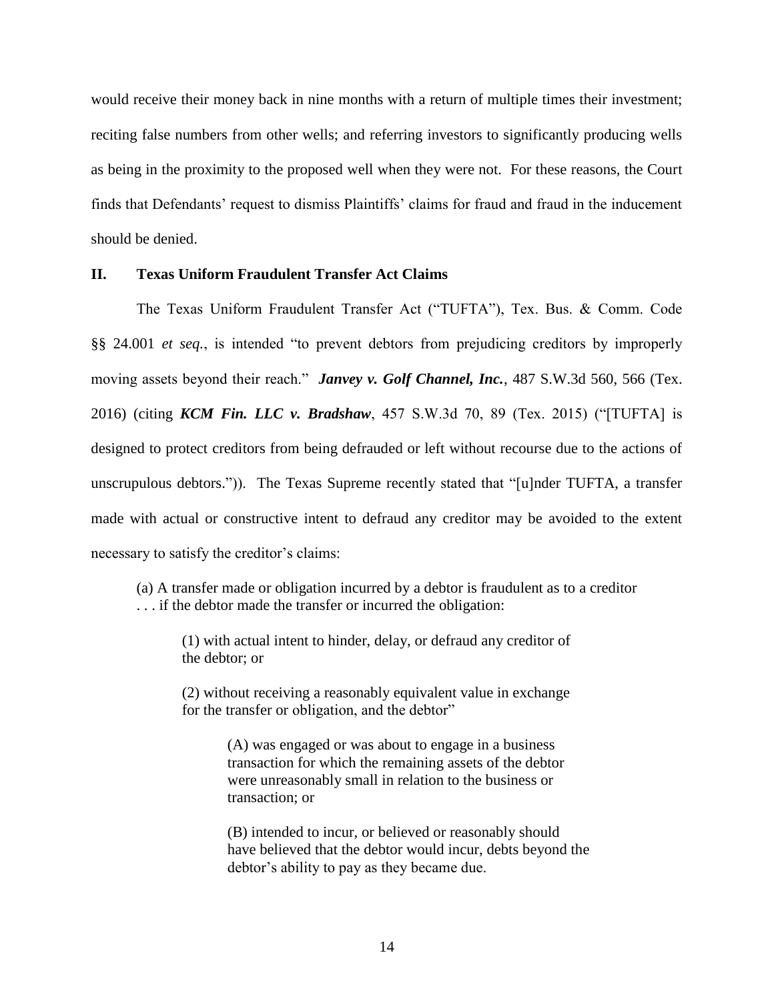would receive their money back in nine months with a return of multiple times their investment; reciting false numbers from other wells; and referring investors to significantly producing wells as being in the proximity to the proposed well when they were not. For these reasons, the Court finds that Defendants' request to dismiss Plaintiffs' claims for fraud and fraud in the inducement should be denied.

# **II. Texas Uniform Fraudulent Transfer Act Claims**

The Texas Uniform Fraudulent Transfer Act ("TUFTA"), Tex. Bus. & Comm. Code §§ 24.001 *et seq.*, is intended "to prevent debtors from prejudicing creditors by improperly moving assets beyond their reach." *Janvey v. Golf Channel, Inc.*, 487 S.W.3d 560, 566 (Tex. 2016) (citing *KCM Fin. LLC v. Bradshaw*, 457 S.W.3d 70, 89 (Tex. 2015) ("[TUFTA] is designed to protect creditors from being defrauded or left without recourse due to the actions of unscrupulous debtors.")). The Texas Supreme recently stated that "[u]nder TUFTA, a transfer made with actual or constructive intent to defraud any creditor may be avoided to the extent necessary to satisfy the creditor's claims:

(a) A transfer made or obligation incurred by a debtor is fraudulent as to a creditor . . . if the debtor made the transfer or incurred the obligation:

(1) with actual intent to hinder, delay, or defraud any creditor of the debtor; or

(2) without receiving a reasonably equivalent value in exchange for the transfer or obligation, and the debtor"

> (A) was engaged or was about to engage in a business transaction for which the remaining assets of the debtor were unreasonably small in relation to the business or transaction; or

(B) intended to incur, or believed or reasonably should have believed that the debtor would incur, debts beyond the debtor's ability to pay as they became due.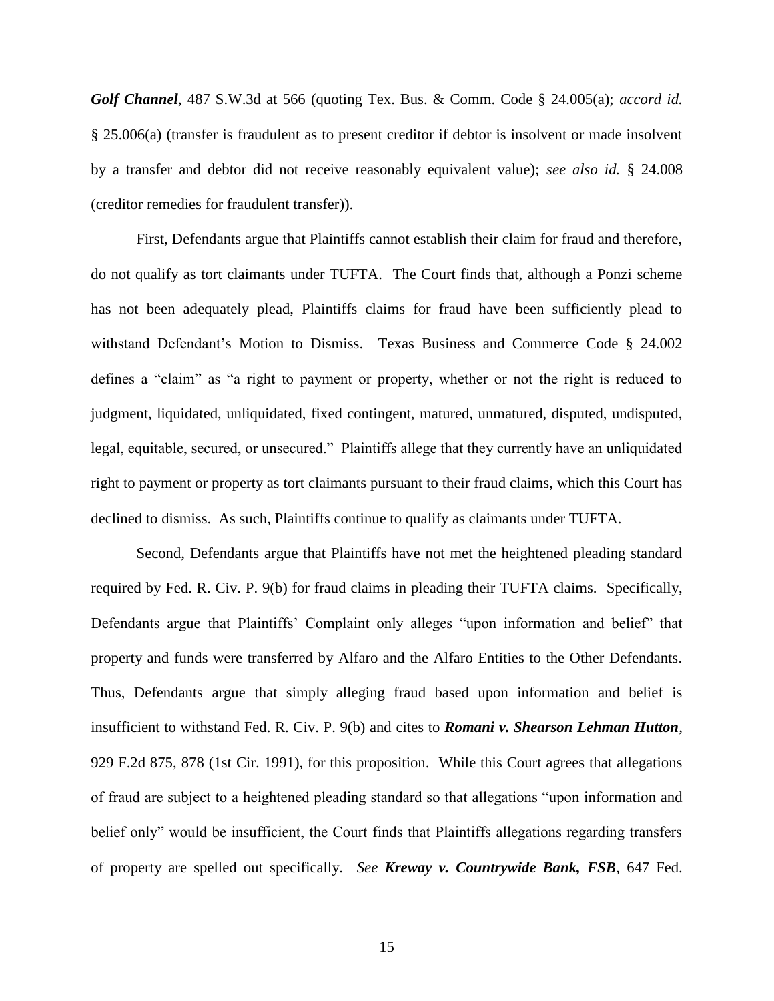*Golf Channel*, 487 S.W.3d at 566 (quoting Tex. Bus. & Comm. Code § 24.005(a); *accord id.*  § 25.006(a) (transfer is fraudulent as to present creditor if debtor is insolvent or made insolvent by a transfer and debtor did not receive reasonably equivalent value); *see also id.* § 24.008 (creditor remedies for fraudulent transfer)).

First, Defendants argue that Plaintiffs cannot establish their claim for fraud and therefore, do not qualify as tort claimants under TUFTA. The Court finds that, although a Ponzi scheme has not been adequately plead, Plaintiffs claims for fraud have been sufficiently plead to withstand Defendant's Motion to Dismiss. Texas Business and Commerce Code § 24.002 defines a "claim" as "a right to payment or property, whether or not the right is reduced to judgment, liquidated, unliquidated, fixed contingent, matured, unmatured, disputed, undisputed, legal, equitable, secured, or unsecured." Plaintiffs allege that they currently have an unliquidated right to payment or property as tort claimants pursuant to their fraud claims, which this Court has declined to dismiss. As such, Plaintiffs continue to qualify as claimants under TUFTA.

Second, Defendants argue that Plaintiffs have not met the heightened pleading standard required by Fed. R. Civ. P. 9(b) for fraud claims in pleading their TUFTA claims. Specifically, Defendants argue that Plaintiffs' Complaint only alleges "upon information and belief" that property and funds were transferred by Alfaro and the Alfaro Entities to the Other Defendants. Thus, Defendants argue that simply alleging fraud based upon information and belief is insufficient to withstand Fed. R. Civ. P. 9(b) and cites to *Romani v. Shearson Lehman Hutton*, 929 F.2d 875, 878 (1st Cir. 1991), for this proposition. While this Court agrees that allegations of fraud are subject to a heightened pleading standard so that allegations "upon information and belief only" would be insufficient, the Court finds that Plaintiffs allegations regarding transfers of property are spelled out specifically. *See Kreway v. Countrywide Bank, FSB*, 647 Fed.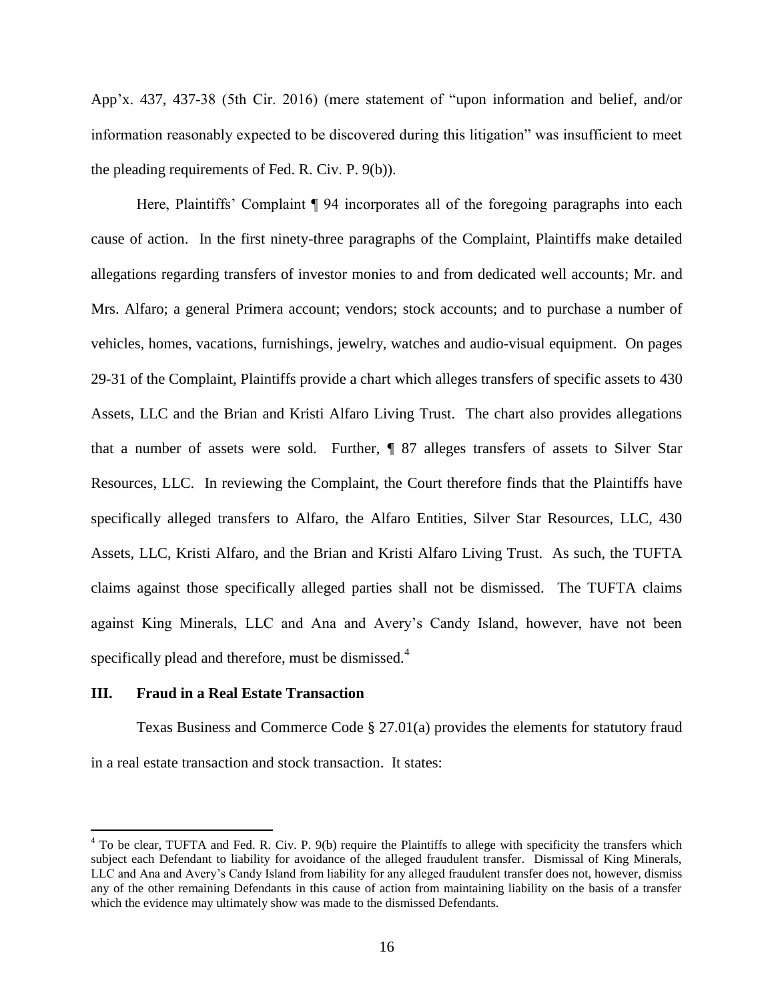App'x. 437, 437-38 (5th Cir. 2016) (mere statement of "upon information and belief, and/or information reasonably expected to be discovered during this litigation" was insufficient to meet the pleading requirements of Fed. R. Civ. P. 9(b)).

Here, Plaintiffs' Complaint ¶ 94 incorporates all of the foregoing paragraphs into each cause of action. In the first ninety-three paragraphs of the Complaint, Plaintiffs make detailed allegations regarding transfers of investor monies to and from dedicated well accounts; Mr. and Mrs. Alfaro; a general Primera account; vendors; stock accounts; and to purchase a number of vehicles, homes, vacations, furnishings, jewelry, watches and audio-visual equipment. On pages 29-31 of the Complaint, Plaintiffs provide a chart which alleges transfers of specific assets to 430 Assets, LLC and the Brian and Kristi Alfaro Living Trust. The chart also provides allegations that a number of assets were sold. Further, ¶ 87 alleges transfers of assets to Silver Star Resources, LLC. In reviewing the Complaint, the Court therefore finds that the Plaintiffs have specifically alleged transfers to Alfaro, the Alfaro Entities, Silver Star Resources, LLC, 430 Assets, LLC, Kristi Alfaro, and the Brian and Kristi Alfaro Living Trust. As such, the TUFTA claims against those specifically alleged parties shall not be dismissed. The TUFTA claims against King Minerals, LLC and Ana and Avery's Candy Island, however, have not been specifically plead and therefore, must be dismissed.<sup>4</sup>

### **III. Fraud in a Real Estate Transaction**

 $\overline{a}$ 

Texas Business and Commerce Code § 27.01(a) provides the elements for statutory fraud in a real estate transaction and stock transaction. It states:

<sup>&</sup>lt;sup>4</sup> To be clear, TUFTA and Fed. R. Civ. P. 9(b) require the Plaintiffs to allege with specificity the transfers which subject each Defendant to liability for avoidance of the alleged fraudulent transfer. Dismissal of King Minerals, LLC and Ana and Avery's Candy Island from liability for any alleged fraudulent transfer does not, however, dismiss any of the other remaining Defendants in this cause of action from maintaining liability on the basis of a transfer which the evidence may ultimately show was made to the dismissed Defendants.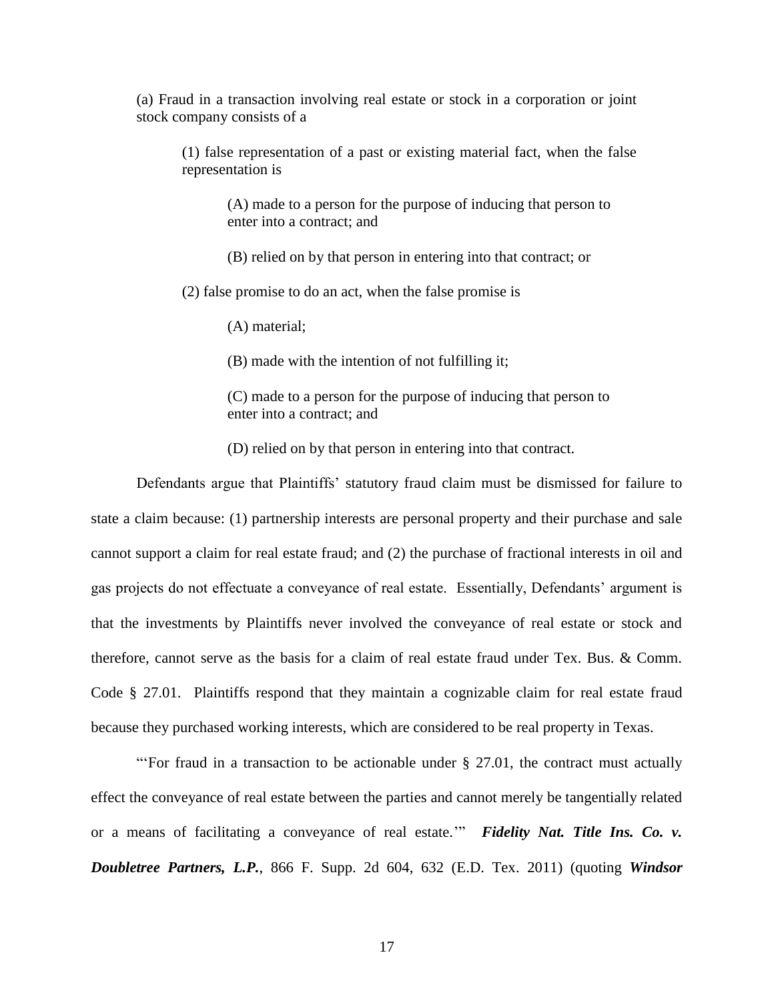(a) Fraud in a transaction involving real estate or stock in a corporation or joint stock company consists of a

(1) false representation of a past or existing material fact, when the false representation is

(A) made to a person for the purpose of inducing that person to enter into a contract; and

(B) relied on by that person in entering into that contract; or

(2) false promise to do an act, when the false promise is

(A) material;

(B) made with the intention of not fulfilling it;

(C) made to a person for the purpose of inducing that person to enter into a contract; and

(D) relied on by that person in entering into that contract.

Defendants argue that Plaintiffs' statutory fraud claim must be dismissed for failure to state a claim because: (1) partnership interests are personal property and their purchase and sale cannot support a claim for real estate fraud; and (2) the purchase of fractional interests in oil and gas projects do not effectuate a conveyance of real estate. Essentially, Defendants' argument is that the investments by Plaintiffs never involved the conveyance of real estate or stock and therefore, cannot serve as the basis for a claim of real estate fraud under Tex. Bus. & Comm. Code § 27.01. Plaintiffs respond that they maintain a cognizable claim for real estate fraud because they purchased working interests, which are considered to be real property in Texas.

"'For fraud in a transaction to be actionable under  $\S$  27.01, the contract must actually effect the conveyance of real estate between the parties and cannot merely be tangentially related or a means of facilitating a conveyance of real estate.'" *Fidelity Nat. Title Ins. Co. v. Doubletree Partners, L.P.*, 866 F. Supp. 2d 604, 632 (E.D. Tex. 2011) (quoting *Windsor*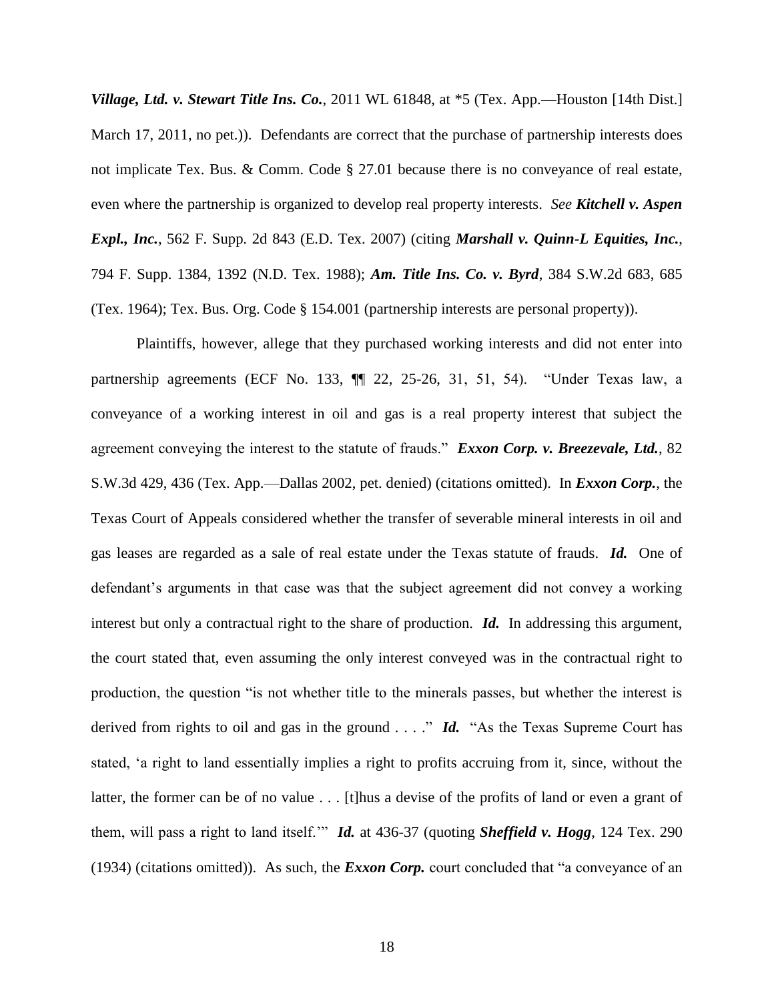*Village, Ltd. v. Stewart Title Ins. Co.*, 2011 WL 61848, at  $*5$  (Tex. App.—Houston [14th Dist.] March 17, 2011, no pet.)). Defendants are correct that the purchase of partnership interests does not implicate Tex. Bus. & Comm. Code § 27.01 because there is no conveyance of real estate, even where the partnership is organized to develop real property interests. *See Kitchell v. Aspen Expl., Inc.*, 562 F. Supp. 2d 843 (E.D. Tex. 2007) (citing *Marshall v. Quinn-L Equities, Inc.*, 794 F. Supp. 1384, 1392 (N.D. Tex. 1988); *Am. Title Ins. Co. v. Byrd*, 384 S.W.2d 683, 685 (Tex. 1964); Tex. Bus. Org. Code § 154.001 (partnership interests are personal property)).

Plaintiffs, however, allege that they purchased working interests and did not enter into partnership agreements (ECF No. 133, ¶¶ 22, 25-26, 31, 51, 54). "Under Texas law, a conveyance of a working interest in oil and gas is a real property interest that subject the agreement conveying the interest to the statute of frauds." *Exxon Corp. v. Breezevale, Ltd.*, 82 S.W.3d 429, 436 (Tex. App.—Dallas 2002, pet. denied) (citations omitted). In *Exxon Corp.*, the Texas Court of Appeals considered whether the transfer of severable mineral interests in oil and gas leases are regarded as a sale of real estate under the Texas statute of frauds. *Id.* One of defendant's arguments in that case was that the subject agreement did not convey a working interest but only a contractual right to the share of production. *Id.* In addressing this argument, the court stated that, even assuming the only interest conveyed was in the contractual right to production, the question "is not whether title to the minerals passes, but whether the interest is derived from rights to oil and gas in the ground . . . ." *Id.* "As the Texas Supreme Court has stated, 'a right to land essentially implies a right to profits accruing from it, since, without the latter, the former can be of no value . . . [t]hus a devise of the profits of land or even a grant of them, will pass a right to land itself.'" *Id.* at 436-37 (quoting *Sheffield v. Hogg*, 124 Tex. 290 (1934) (citations omitted)). As such, the *Exxon Corp.* court concluded that "a conveyance of an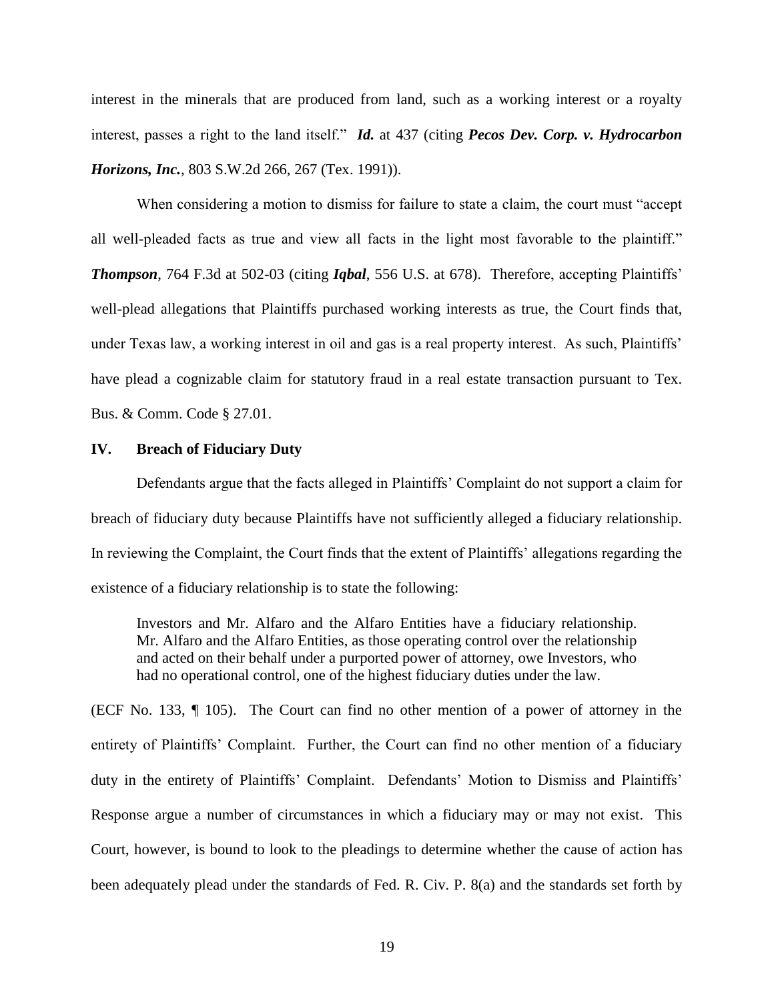interest in the minerals that are produced from land, such as a working interest or a royalty interest, passes a right to the land itself." *Id.* at 437 (citing *Pecos Dev. Corp. v. Hydrocarbon Horizons, Inc.*, 803 S.W.2d 266, 267 (Tex. 1991)).

When considering a motion to dismiss for failure to state a claim, the court must "accept all well-pleaded facts as true and view all facts in the light most favorable to the plaintiff." *Thompson*, 764 F.3d at 502-03 (citing *Iqbal*, 556 U.S. at 678). Therefore, accepting Plaintiffs' well-plead allegations that Plaintiffs purchased working interests as true, the Court finds that, under Texas law, a working interest in oil and gas is a real property interest. As such, Plaintiffs' have plead a cognizable claim for statutory fraud in a real estate transaction pursuant to Tex. Bus. & Comm. Code § 27.01.

### **IV. Breach of Fiduciary Duty**

Defendants argue that the facts alleged in Plaintiffs' Complaint do not support a claim for breach of fiduciary duty because Plaintiffs have not sufficiently alleged a fiduciary relationship. In reviewing the Complaint, the Court finds that the extent of Plaintiffs' allegations regarding the existence of a fiduciary relationship is to state the following:

Investors and Mr. Alfaro and the Alfaro Entities have a fiduciary relationship. Mr. Alfaro and the Alfaro Entities, as those operating control over the relationship and acted on their behalf under a purported power of attorney, owe Investors, who had no operational control, one of the highest fiduciary duties under the law.

(ECF No. 133, ¶ 105). The Court can find no other mention of a power of attorney in the entirety of Plaintiffs' Complaint. Further, the Court can find no other mention of a fiduciary duty in the entirety of Plaintiffs' Complaint. Defendants' Motion to Dismiss and Plaintiffs' Response argue a number of circumstances in which a fiduciary may or may not exist. This Court, however, is bound to look to the pleadings to determine whether the cause of action has been adequately plead under the standards of Fed. R. Civ. P. 8(a) and the standards set forth by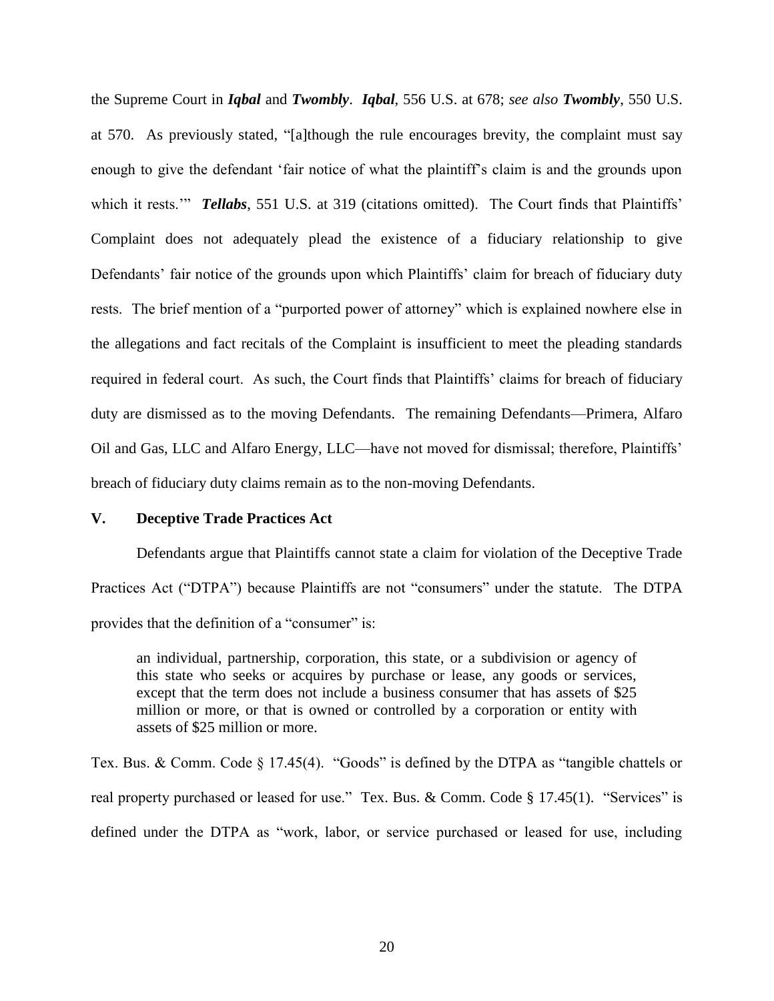the Supreme Court in *Iqbal* and *Twombly*. *Iqbal*, 556 U.S. at 678; *see also Twombly*, 550 U.S. at 570. As previously stated, "[a]though the rule encourages brevity, the complaint must say enough to give the defendant 'fair notice of what the plaintiff's claim is and the grounds upon which it rests." **Tellabs**, 551 U.S. at 319 (citations omitted). The Court finds that Plaintiffs' Complaint does not adequately plead the existence of a fiduciary relationship to give Defendants' fair notice of the grounds upon which Plaintiffs' claim for breach of fiduciary duty rests. The brief mention of a "purported power of attorney" which is explained nowhere else in the allegations and fact recitals of the Complaint is insufficient to meet the pleading standards required in federal court. As such, the Court finds that Plaintiffs' claims for breach of fiduciary duty are dismissed as to the moving Defendants. The remaining Defendants—Primera, Alfaro Oil and Gas, LLC and Alfaro Energy, LLC—have not moved for dismissal; therefore, Plaintiffs' breach of fiduciary duty claims remain as to the non-moving Defendants.

### **V. Deceptive Trade Practices Act**

Defendants argue that Plaintiffs cannot state a claim for violation of the Deceptive Trade Practices Act ("DTPA") because Plaintiffs are not "consumers" under the statute. The DTPA provides that the definition of a "consumer" is:

an individual, partnership, corporation, this state, or a subdivision or agency of this state who seeks or acquires by purchase or lease, any goods or services, except that the term does not include a business consumer that has assets of \$25 million or more, or that is owned or controlled by a corporation or entity with assets of \$25 million or more.

Tex. Bus. & Comm. Code § 17.45(4). "Goods" is defined by the DTPA as "tangible chattels or real property purchased or leased for use." Tex. Bus. & Comm. Code § 17.45(1). "Services" is defined under the DTPA as "work, labor, or service purchased or leased for use, including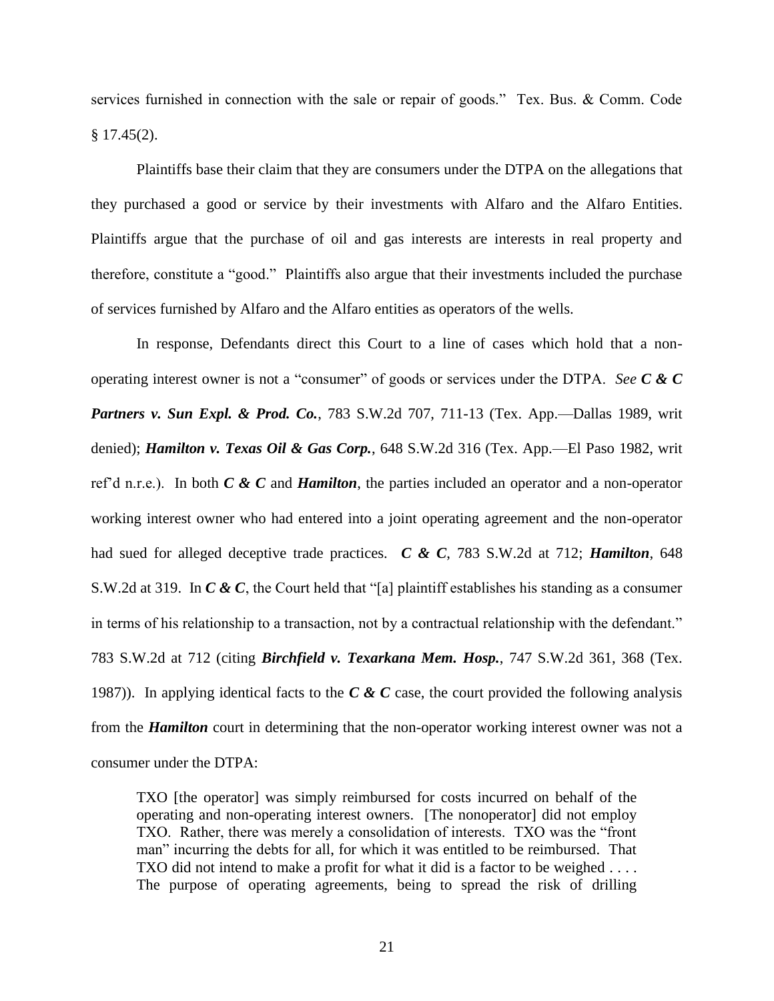services furnished in connection with the sale or repair of goods." Tex. Bus. & Comm. Code  $§$  17.45(2).

Plaintiffs base their claim that they are consumers under the DTPA on the allegations that they purchased a good or service by their investments with Alfaro and the Alfaro Entities. Plaintiffs argue that the purchase of oil and gas interests are interests in real property and therefore, constitute a "good." Plaintiffs also argue that their investments included the purchase of services furnished by Alfaro and the Alfaro entities as operators of the wells.

In response, Defendants direct this Court to a line of cases which hold that a nonoperating interest owner is not a "consumer" of goods or services under the DTPA. *See C & C*  **Partners v. Sun Expl. & Prod. Co.**, 783 S.W.2d 707, 711-13 (Tex. App.—Dallas 1989, writ denied); *Hamilton v. Texas Oil & Gas Corp.*, 648 S.W.2d 316 (Tex. App.—El Paso 1982, writ ref'd n.r.e.). In both *C & C* and *Hamilton*, the parties included an operator and a non-operator working interest owner who had entered into a joint operating agreement and the non-operator had sued for alleged deceptive trade practices. *C & C*, 783 S.W.2d at 712; *Hamilton*, 648 S.W.2d at 319. In *C & C*, the Court held that "[a] plaintiff establishes his standing as a consumer in terms of his relationship to a transaction, not by a contractual relationship with the defendant." 783 S.W.2d at 712 (citing *Birchfield v. Texarkana Mem. Hosp.*, 747 S.W.2d 361, 368 (Tex. 1987)). In applying identical facts to the *C & C* case, the court provided the following analysis from the *Hamilton* court in determining that the non-operator working interest owner was not a consumer under the DTPA:

TXO [the operator] was simply reimbursed for costs incurred on behalf of the operating and non-operating interest owners. [The nonoperator] did not employ TXO. Rather, there was merely a consolidation of interests. TXO was the "front man" incurring the debts for all, for which it was entitled to be reimbursed. That TXO did not intend to make a profit for what it did is a factor to be weighed . . . . The purpose of operating agreements, being to spread the risk of drilling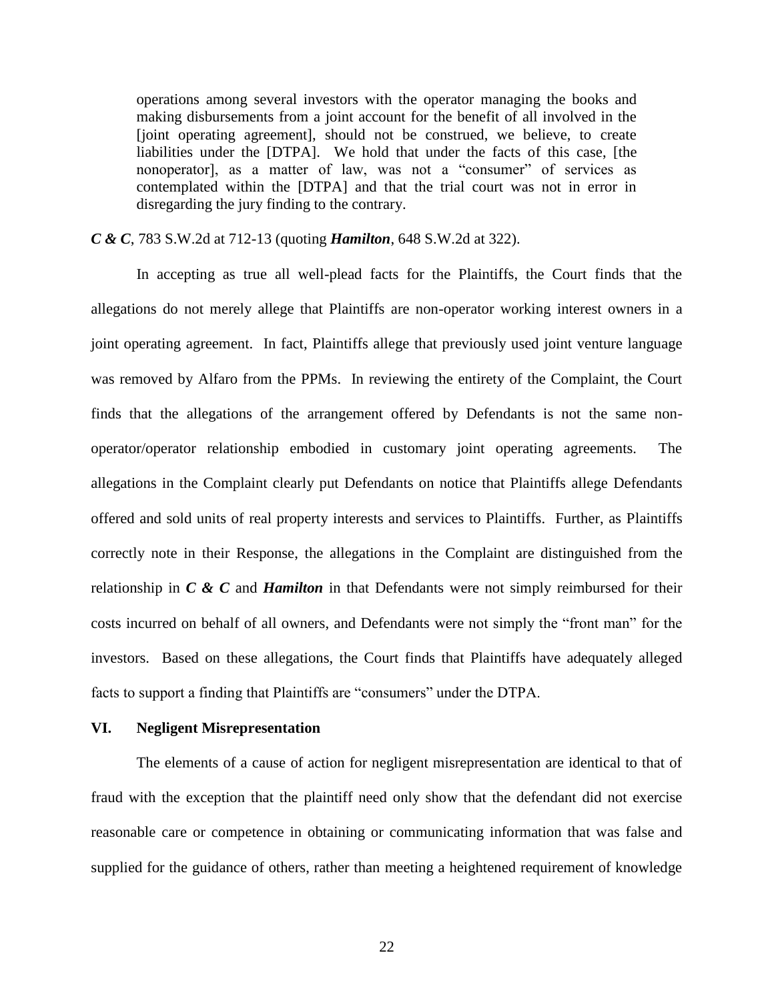operations among several investors with the operator managing the books and making disbursements from a joint account for the benefit of all involved in the [joint operating agreement], should not be construed, we believe, to create liabilities under the [DTPA]. We hold that under the facts of this case, [the nonoperator], as a matter of law, was not a "consumer" of services as contemplated within the [DTPA] and that the trial court was not in error in disregarding the jury finding to the contrary.

*C & C*, 783 S.W.2d at 712-13 (quoting *Hamilton*, 648 S.W.2d at 322).

In accepting as true all well-plead facts for the Plaintiffs, the Court finds that the allegations do not merely allege that Plaintiffs are non-operator working interest owners in a joint operating agreement. In fact, Plaintiffs allege that previously used joint venture language was removed by Alfaro from the PPMs. In reviewing the entirety of the Complaint, the Court finds that the allegations of the arrangement offered by Defendants is not the same nonoperator/operator relationship embodied in customary joint operating agreements. The allegations in the Complaint clearly put Defendants on notice that Plaintiffs allege Defendants offered and sold units of real property interests and services to Plaintiffs. Further, as Plaintiffs correctly note in their Response, the allegations in the Complaint are distinguished from the relationship in *C & C* and *Hamilton* in that Defendants were not simply reimbursed for their costs incurred on behalf of all owners, and Defendants were not simply the "front man" for the investors. Based on these allegations, the Court finds that Plaintiffs have adequately alleged facts to support a finding that Plaintiffs are "consumers" under the DTPA.

#### **VI. Negligent Misrepresentation**

The elements of a cause of action for negligent misrepresentation are identical to that of fraud with the exception that the plaintiff need only show that the defendant did not exercise reasonable care or competence in obtaining or communicating information that was false and supplied for the guidance of others, rather than meeting a heightened requirement of knowledge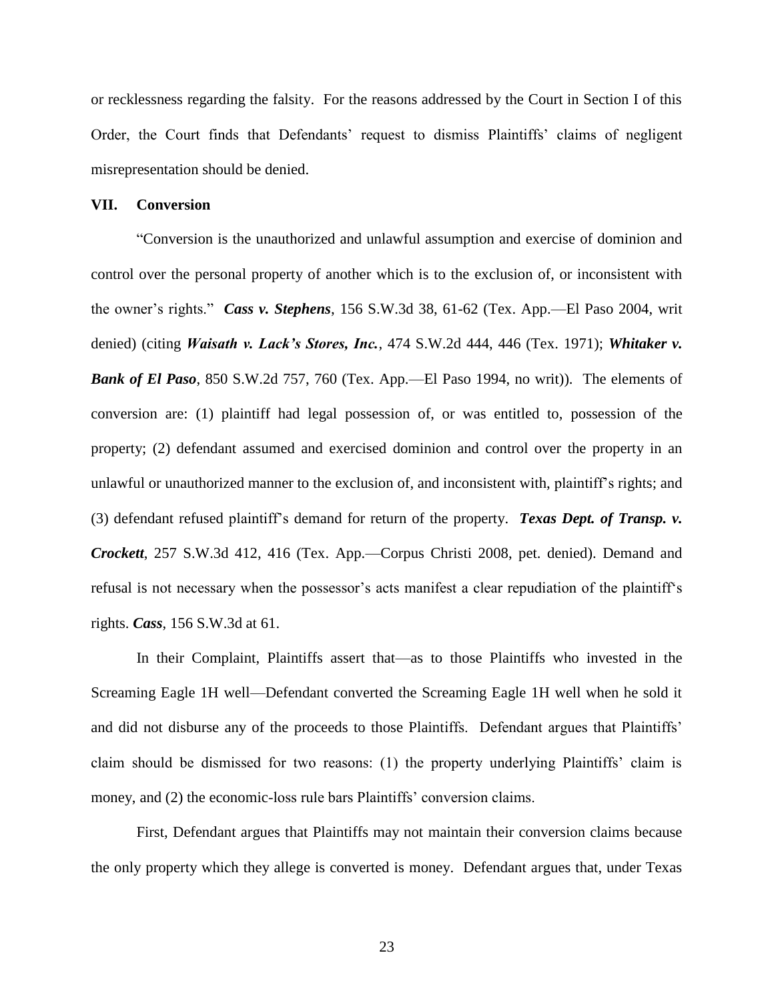or recklessness regarding the falsity. For the reasons addressed by the Court in Section I of this Order, the Court finds that Defendants' request to dismiss Plaintiffs' claims of negligent misrepresentation should be denied.

#### **VII. Conversion**

"Conversion is the unauthorized and unlawful assumption and exercise of dominion and control over the personal property of another which is to the exclusion of, or inconsistent with the owner's rights." *Cass v. Stephens*, 156 S.W.3d 38, 61-62 (Tex. App.—El Paso 2004, writ denied) (citing *Waisath v. Lack's Stores, Inc.*, 474 S.W.2d 444, 446 (Tex. 1971); *Whitaker v. Bank of El Paso*, 850 S.W.2d 757, 760 (Tex. App.—El Paso 1994, no writ)). The elements of conversion are: (1) plaintiff had legal possession of, or was entitled to, possession of the property; (2) defendant assumed and exercised dominion and control over the property in an unlawful or unauthorized manner to the exclusion of, and inconsistent with, plaintiff's rights; and (3) defendant refused plaintiff's demand for return of the property. *Texas Dept. of Transp. v. Crockett*, 257 S.W.3d 412, 416 (Tex. App.—Corpus Christi 2008, pet. denied). Demand and refusal is not necessary when the possessor's acts manifest a clear repudiation of the plaintiff's rights. *Cass*, 156 S.W.3d at 61.

In their Complaint, Plaintiffs assert that—as to those Plaintiffs who invested in the Screaming Eagle 1H well—Defendant converted the Screaming Eagle 1H well when he sold it and did not disburse any of the proceeds to those Plaintiffs. Defendant argues that Plaintiffs' claim should be dismissed for two reasons: (1) the property underlying Plaintiffs' claim is money, and (2) the economic-loss rule bars Plaintiffs' conversion claims.

First, Defendant argues that Plaintiffs may not maintain their conversion claims because the only property which they allege is converted is money. Defendant argues that, under Texas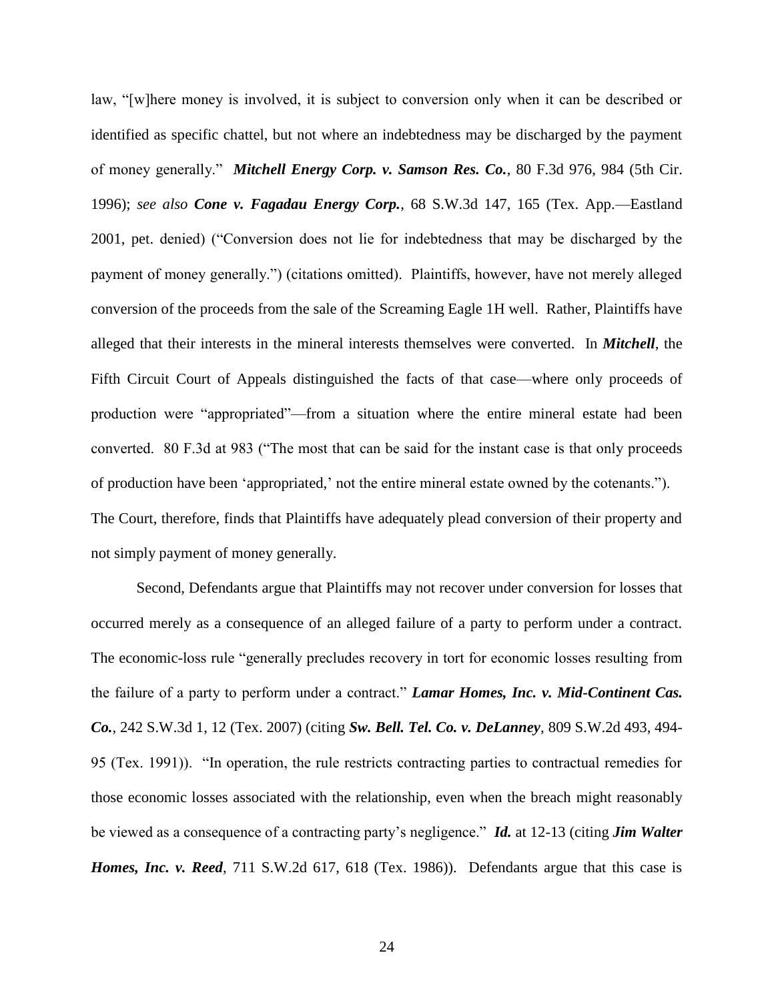law, "[w]here money is involved, it is subject to conversion only when it can be described or identified as specific chattel, but not where an indebtedness may be discharged by the payment of money generally." *Mitchell Energy Corp. v. Samson Res. Co.*, 80 F.3d 976, 984 (5th Cir. 1996); *see also Cone v. Fagadau Energy Corp.*, 68 S.W.3d 147, 165 (Tex. App.—Eastland 2001, pet. denied) ("Conversion does not lie for indebtedness that may be discharged by the payment of money generally.") (citations omitted). Plaintiffs, however, have not merely alleged conversion of the proceeds from the sale of the Screaming Eagle 1H well. Rather, Plaintiffs have alleged that their interests in the mineral interests themselves were converted. In *Mitchell*, the Fifth Circuit Court of Appeals distinguished the facts of that case—where only proceeds of production were "appropriated"—from a situation where the entire mineral estate had been converted. 80 F.3d at 983 ("The most that can be said for the instant case is that only proceeds of production have been 'appropriated,' not the entire mineral estate owned by the cotenants."). The Court, therefore, finds that Plaintiffs have adequately plead conversion of their property and not simply payment of money generally.

Second, Defendants argue that Plaintiffs may not recover under conversion for losses that occurred merely as a consequence of an alleged failure of a party to perform under a contract. The economic-loss rule "generally precludes recovery in tort for economic losses resulting from the failure of a party to perform under a contract." *Lamar Homes, Inc. v. Mid-Continent Cas. Co.*, 242 S.W.3d 1, 12 (Tex. 2007) (citing *Sw. Bell. Tel. Co. v. DeLanney*, 809 S.W.2d 493, 494- 95 (Tex. 1991)). "In operation, the rule restricts contracting parties to contractual remedies for those economic losses associated with the relationship, even when the breach might reasonably be viewed as a consequence of a contracting party's negligence." *Id.* at 12-13 (citing *Jim Walter Homes, Inc. v. Reed*, 711 S.W.2d 617, 618 (Tex. 1986)). Defendants argue that this case is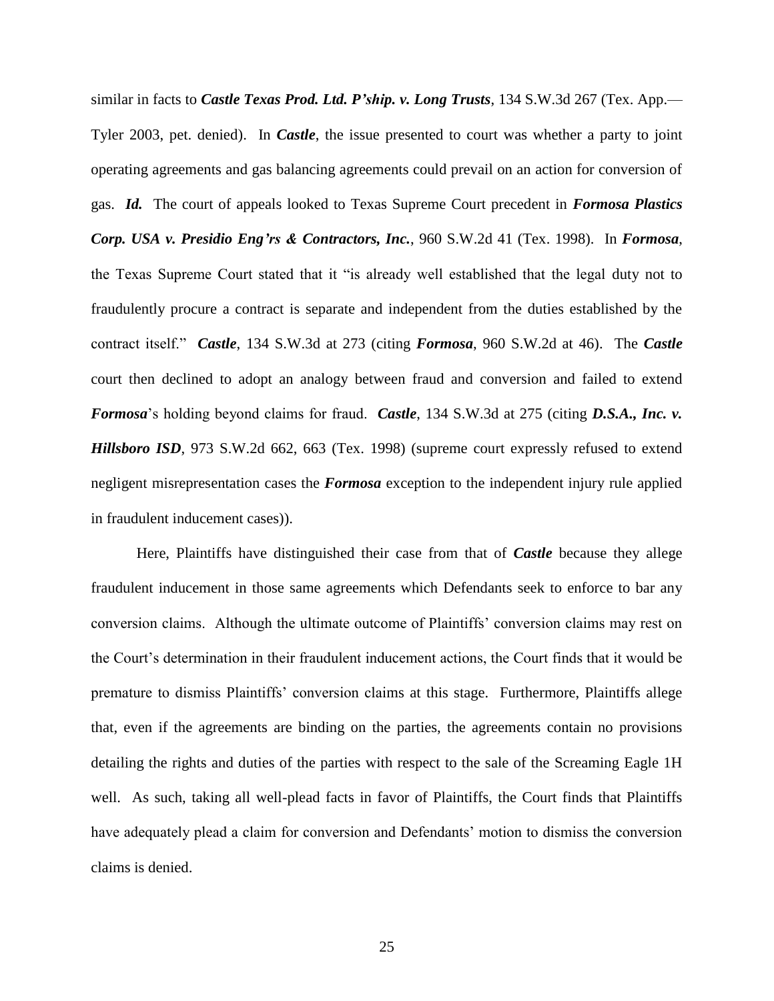similar in facts to *Castle Texas Prod. Ltd. P'ship. v. Long Trusts*, 134 S.W.3d 267 (Tex. App.— Tyler 2003, pet. denied). In *Castle*, the issue presented to court was whether a party to joint operating agreements and gas balancing agreements could prevail on an action for conversion of gas. *Id.* The court of appeals looked to Texas Supreme Court precedent in *Formosa Plastics Corp. USA v. Presidio Eng'rs & Contractors, Inc.*, 960 S.W.2d 41 (Tex. 1998). In *Formosa*, the Texas Supreme Court stated that it "is already well established that the legal duty not to fraudulently procure a contract is separate and independent from the duties established by the contract itself." *Castle*, 134 S.W.3d at 273 (citing *Formosa*, 960 S.W.2d at 46). The *Castle* court then declined to adopt an analogy between fraud and conversion and failed to extend *Formosa*'s holding beyond claims for fraud. *Castle*, 134 S.W.3d at 275 (citing *D.S.A., Inc. v. Hillsboro ISD*, 973 S.W.2d 662, 663 (Tex. 1998) (supreme court expressly refused to extend negligent misrepresentation cases the *Formosa* exception to the independent injury rule applied in fraudulent inducement cases)).

Here, Plaintiffs have distinguished their case from that of *Castle* because they allege fraudulent inducement in those same agreements which Defendants seek to enforce to bar any conversion claims. Although the ultimate outcome of Plaintiffs' conversion claims may rest on the Court's determination in their fraudulent inducement actions, the Court finds that it would be premature to dismiss Plaintiffs' conversion claims at this stage. Furthermore, Plaintiffs allege that, even if the agreements are binding on the parties, the agreements contain no provisions detailing the rights and duties of the parties with respect to the sale of the Screaming Eagle 1H well. As such, taking all well-plead facts in favor of Plaintiffs, the Court finds that Plaintiffs have adequately plead a claim for conversion and Defendants' motion to dismiss the conversion claims is denied.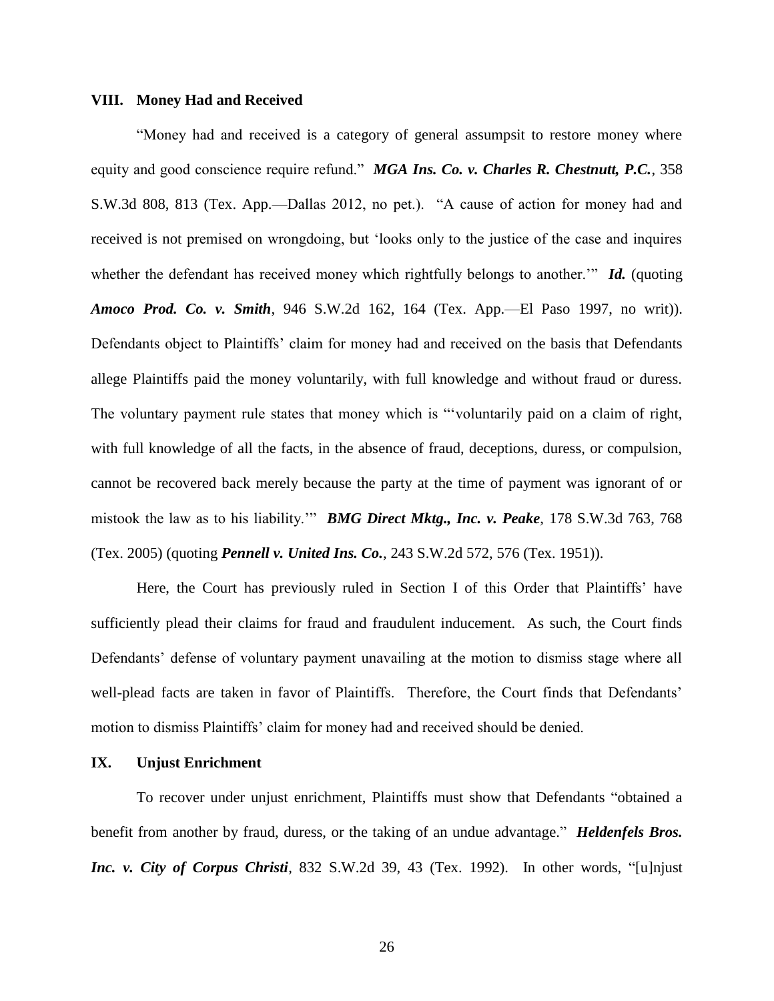#### **VIII. Money Had and Received**

"Money had and received is a category of general assumpsit to restore money where equity and good conscience require refund." *MGA Ins. Co. v. Charles R. Chestnutt, P.C.*, 358 S.W.3d 808, 813 (Tex. App.—Dallas 2012, no pet.). "A cause of action for money had and received is not premised on wrongdoing, but 'looks only to the justice of the case and inquires whether the defendant has received money which rightfully belongs to another.<sup>""</sup> **Id.** (quoting *Amoco Prod. Co. v. Smith*, 946 S.W.2d 162, 164 (Tex. App.—El Paso 1997, no writ)). Defendants object to Plaintiffs' claim for money had and received on the basis that Defendants allege Plaintiffs paid the money voluntarily, with full knowledge and without fraud or duress. The voluntary payment rule states that money which is "'voluntarily paid on a claim of right, with full knowledge of all the facts, in the absence of fraud, deceptions, duress, or compulsion, cannot be recovered back merely because the party at the time of payment was ignorant of or mistook the law as to his liability.'" *BMG Direct Mktg., Inc. v. Peake*, 178 S.W.3d 763, 768 (Tex. 2005) (quoting *Pennell v. United Ins. Co.*, 243 S.W.2d 572, 576 (Tex. 1951)).

Here, the Court has previously ruled in Section I of this Order that Plaintiffs' have sufficiently plead their claims for fraud and fraudulent inducement. As such, the Court finds Defendants' defense of voluntary payment unavailing at the motion to dismiss stage where all well-plead facts are taken in favor of Plaintiffs. Therefore, the Court finds that Defendants' motion to dismiss Plaintiffs' claim for money had and received should be denied.

#### **IX. Unjust Enrichment**

To recover under unjust enrichment, Plaintiffs must show that Defendants "obtained a benefit from another by fraud, duress, or the taking of an undue advantage." *Heldenfels Bros. Inc. v. City of Corpus Christi*, 832 S.W.2d 39, 43 (Tex. 1992). In other words, "[u]njust

26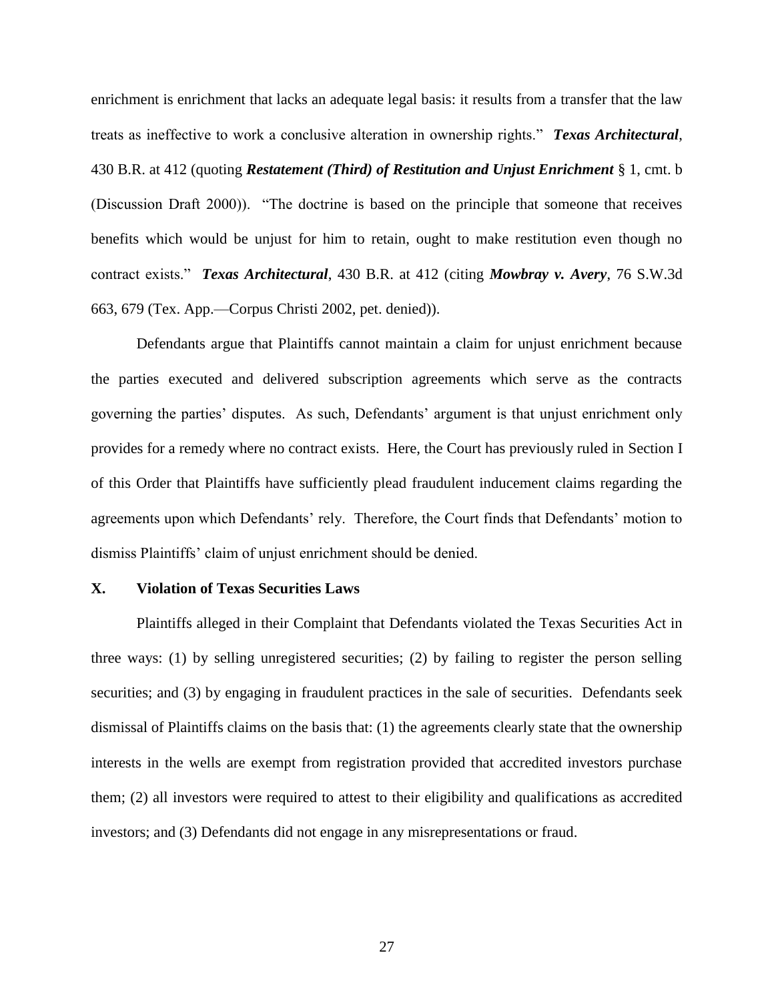enrichment is enrichment that lacks an adequate legal basis: it results from a transfer that the law treats as ineffective to work a conclusive alteration in ownership rights." *Texas Architectural*, 430 B.R. at 412 (quoting *Restatement (Third) of Restitution and Unjust Enrichment* § 1, cmt. b (Discussion Draft 2000)). "The doctrine is based on the principle that someone that receives benefits which would be unjust for him to retain, ought to make restitution even though no contract exists." *Texas Architectural*, 430 B.R. at 412 (citing *Mowbray v. Avery*, 76 S.W.3d 663, 679 (Tex. App.—Corpus Christi 2002, pet. denied)).

Defendants argue that Plaintiffs cannot maintain a claim for unjust enrichment because the parties executed and delivered subscription agreements which serve as the contracts governing the parties' disputes. As such, Defendants' argument is that unjust enrichment only provides for a remedy where no contract exists. Here, the Court has previously ruled in Section I of this Order that Plaintiffs have sufficiently plead fraudulent inducement claims regarding the agreements upon which Defendants' rely. Therefore, the Court finds that Defendants' motion to dismiss Plaintiffs' claim of unjust enrichment should be denied.

#### **X. Violation of Texas Securities Laws**

Plaintiffs alleged in their Complaint that Defendants violated the Texas Securities Act in three ways: (1) by selling unregistered securities; (2) by failing to register the person selling securities; and (3) by engaging in fraudulent practices in the sale of securities. Defendants seek dismissal of Plaintiffs claims on the basis that: (1) the agreements clearly state that the ownership interests in the wells are exempt from registration provided that accredited investors purchase them; (2) all investors were required to attest to their eligibility and qualifications as accredited investors; and (3) Defendants did not engage in any misrepresentations or fraud.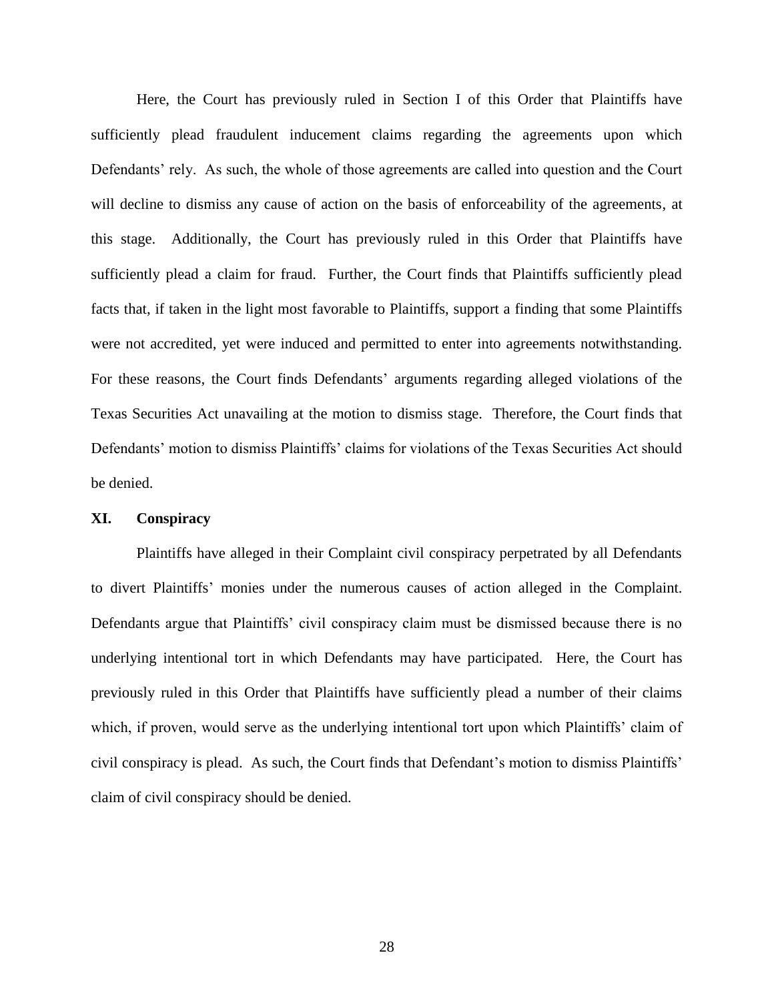Here, the Court has previously ruled in Section I of this Order that Plaintiffs have sufficiently plead fraudulent inducement claims regarding the agreements upon which Defendants' rely. As such, the whole of those agreements are called into question and the Court will decline to dismiss any cause of action on the basis of enforceability of the agreements, at this stage. Additionally, the Court has previously ruled in this Order that Plaintiffs have sufficiently plead a claim for fraud. Further, the Court finds that Plaintiffs sufficiently plead facts that, if taken in the light most favorable to Plaintiffs, support a finding that some Plaintiffs were not accredited, yet were induced and permitted to enter into agreements notwithstanding. For these reasons, the Court finds Defendants' arguments regarding alleged violations of the Texas Securities Act unavailing at the motion to dismiss stage. Therefore, the Court finds that Defendants' motion to dismiss Plaintiffs' claims for violations of the Texas Securities Act should be denied.

### **XI. Conspiracy**

Plaintiffs have alleged in their Complaint civil conspiracy perpetrated by all Defendants to divert Plaintiffs' monies under the numerous causes of action alleged in the Complaint. Defendants argue that Plaintiffs' civil conspiracy claim must be dismissed because there is no underlying intentional tort in which Defendants may have participated. Here, the Court has previously ruled in this Order that Plaintiffs have sufficiently plead a number of their claims which, if proven, would serve as the underlying intentional tort upon which Plaintiffs' claim of civil conspiracy is plead. As such, the Court finds that Defendant's motion to dismiss Plaintiffs' claim of civil conspiracy should be denied.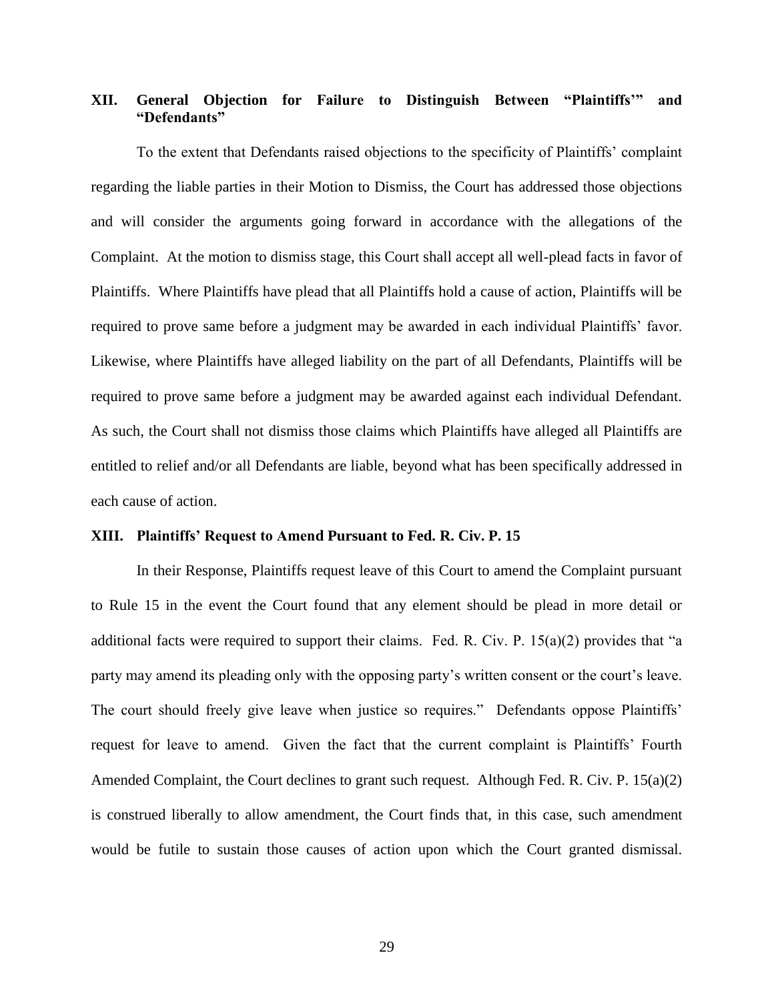# **XII. General Objection for Failure to Distinguish Between "Plaintiffs'" and "Defendants"**

To the extent that Defendants raised objections to the specificity of Plaintiffs' complaint regarding the liable parties in their Motion to Dismiss, the Court has addressed those objections and will consider the arguments going forward in accordance with the allegations of the Complaint. At the motion to dismiss stage, this Court shall accept all well-plead facts in favor of Plaintiffs. Where Plaintiffs have plead that all Plaintiffs hold a cause of action, Plaintiffs will be required to prove same before a judgment may be awarded in each individual Plaintiffs' favor. Likewise, where Plaintiffs have alleged liability on the part of all Defendants, Plaintiffs will be required to prove same before a judgment may be awarded against each individual Defendant. As such, the Court shall not dismiss those claims which Plaintiffs have alleged all Plaintiffs are entitled to relief and/or all Defendants are liable, beyond what has been specifically addressed in each cause of action.

# **XIII. Plaintiffs' Request to Amend Pursuant to Fed. R. Civ. P. 15**

In their Response, Plaintiffs request leave of this Court to amend the Complaint pursuant to Rule 15 in the event the Court found that any element should be plead in more detail or additional facts were required to support their claims. Fed. R. Civ. P. 15(a)(2) provides that "a party may amend its pleading only with the opposing party's written consent or the court's leave. The court should freely give leave when justice so requires." Defendants oppose Plaintiffs' request for leave to amend. Given the fact that the current complaint is Plaintiffs' Fourth Amended Complaint, the Court declines to grant such request. Although Fed. R. Civ. P. 15(a)(2) is construed liberally to allow amendment, the Court finds that, in this case, such amendment would be futile to sustain those causes of action upon which the Court granted dismissal.